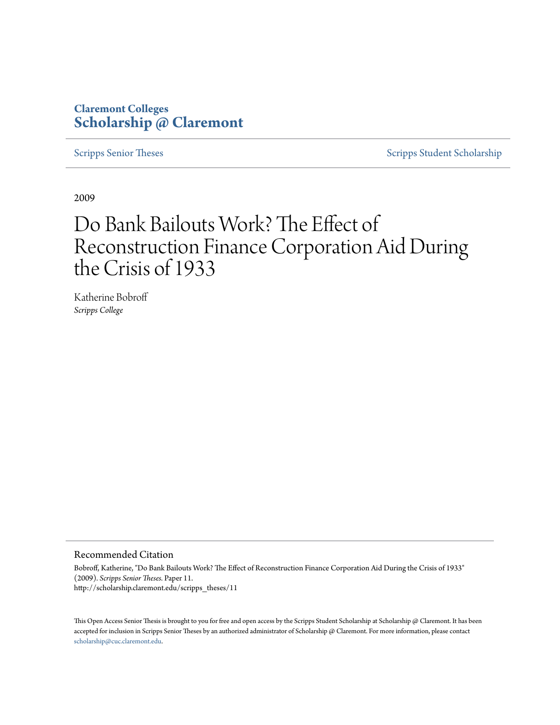# **Claremont Colleges [Scholarship @ Claremont](http://scholarship.claremont.edu)**

[Scripps Senior Theses](http://scholarship.claremont.edu/scripps_theses) [Scripps Student Scholarship](http://scholarship.claremont.edu/scripps_student)

2009

# Do Bank Bailouts Work? The Effect of Reconstruction Finance Corporation Aid During the Crisis of 1933

Katherine Bobroff *Scripps College*

#### Recommended Citation

Bobroff, Katherine, "Do Bank Bailouts Work? The Effect of Reconstruction Finance Corporation Aid During the Crisis of 1933" (2009). *Scripps Senior Theses.* Paper 11. http://scholarship.claremont.edu/scripps\_theses/11

This Open Access Senior Thesis is brought to you for free and open access by the Scripps Student Scholarship at Scholarship @ Claremont. It has been accepted for inclusion in Scripps Senior Theses by an authorized administrator of Scholarship @ Claremont. For more information, please contact [scholarship@cuc.claremont.edu.](mailto:scholarship@cuc.claremont.edu)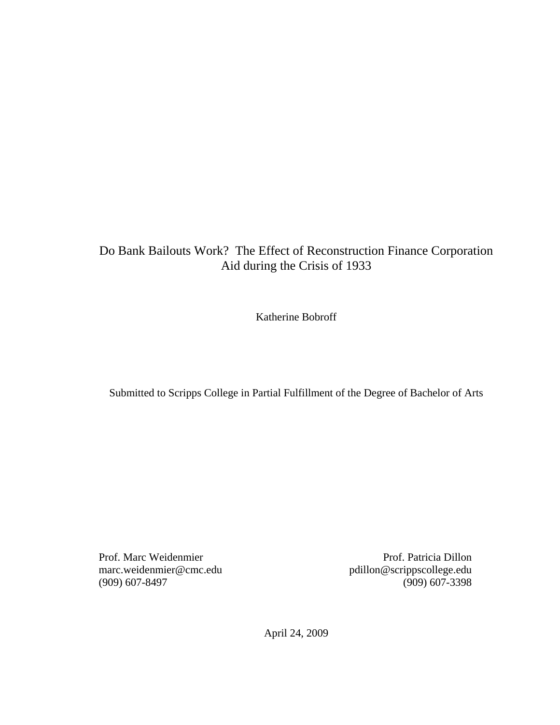# Do Bank Bailouts Work? The Effect of Reconstruction Finance Corporation Aid during the Crisis of 1933

Katherine Bobroff

Submitted to Scripps College in Partial Fulfillment of the Degree of Bachelor of Arts

Prof. Marc Weidenmier marc.weidenmier@cmc.edu (909) 607-8497

Prof. Patricia Dillon pdillon@scrippscollege.edu (909) 607-3398

April 24, 2009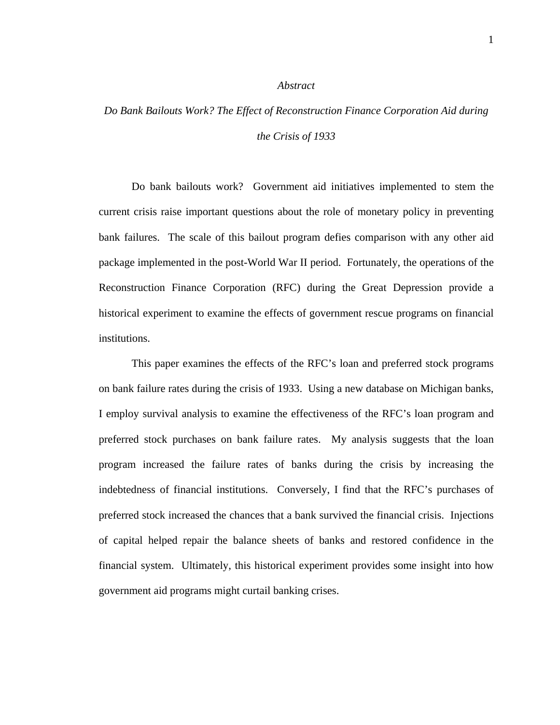#### *Abstract*

# *Do Bank Bailouts Work? The Effect of Reconstruction Finance Corporation Aid during the Crisis of 1933*

Do bank bailouts work? Government aid initiatives implemented to stem the current crisis raise important questions about the role of monetary policy in preventing bank failures. The scale of this bailout program defies comparison with any other aid package implemented in the post-World War II period. Fortunately, the operations of the Reconstruction Finance Corporation (RFC) during the Great Depression provide a historical experiment to examine the effects of government rescue programs on financial institutions.

This paper examines the effects of the RFC's loan and preferred stock programs on bank failure rates during the crisis of 1933. Using a new database on Michigan banks, I employ survival analysis to examine the effectiveness of the RFC's loan program and preferred stock purchases on bank failure rates. My analysis suggests that the loan program increased the failure rates of banks during the crisis by increasing the indebtedness of financial institutions. Conversely, I find that the RFC's purchases of preferred stock increased the chances that a bank survived the financial crisis. Injections of capital helped repair the balance sheets of banks and restored confidence in the financial system. Ultimately, this historical experiment provides some insight into how government aid programs might curtail banking crises.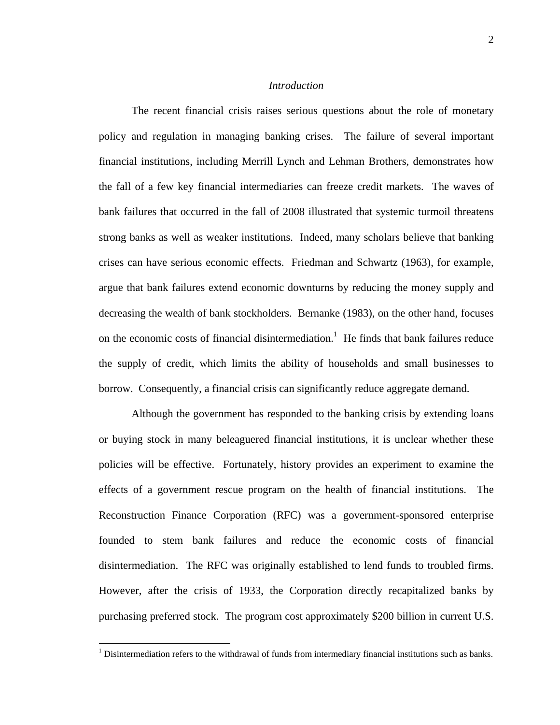#### *Introduction*

The recent financial crisis raises serious questions about the role of monetary policy and regulation in managing banking crises. The failure of several important financial institutions, including Merrill Lynch and Lehman Brothers, demonstrates how the fall of a few key financial intermediaries can freeze credit markets. The waves of bank failures that occurred in the fall of 2008 illustrated that systemic turmoil threatens strong banks as well as weaker institutions. Indeed, many scholars believe that banking crises can have serious economic effects. Friedman and Schwartz (1963), for example, argue that bank failures extend economic downturns by reducing the money supply and decreasing the wealth of bank stockholders. Bernanke (1983), on the other hand, focuses on the economic costs of financial disintermediation.<sup>1</sup> He finds that bank failures reduce the supply of credit, which limits the ability of households and small businesses to borrow. Consequently, a financial crisis can significantly reduce aggregate demand.

Although the government has responded to the banking crisis by extending loans or buying stock in many beleaguered financial institutions, it is unclear whether these policies will be effective. Fortunately, history provides an experiment to examine the effects of a government rescue program on the health of financial institutions. The Reconstruction Finance Corporation (RFC) was a government-sponsored enterprise founded to stem bank failures and reduce the economic costs of financial disintermediation. The RFC was originally established to lend funds to troubled firms. However, after the crisis of 1933, the Corporation directly recapitalized banks by purchasing preferred stock. The program cost approximately \$200 billion in current U.S.

 $\overline{a}$ 

 $<sup>1</sup>$  Disintermediation refers to the withdrawal of funds from intermediary financial institutions such as banks.</sup>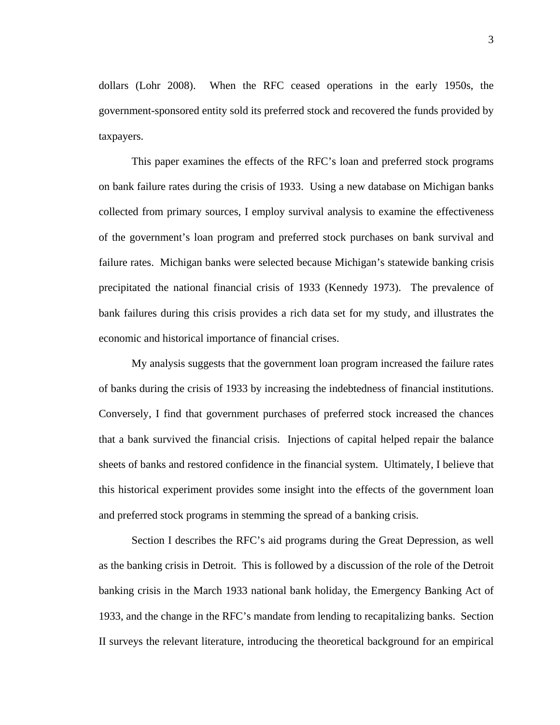dollars (Lohr 2008). When the RFC ceased operations in the early 1950s, the government-sponsored entity sold its preferred stock and recovered the funds provided by taxpayers.

This paper examines the effects of the RFC's loan and preferred stock programs on bank failure rates during the crisis of 1933. Using a new database on Michigan banks collected from primary sources, I employ survival analysis to examine the effectiveness of the government's loan program and preferred stock purchases on bank survival and failure rates. Michigan banks were selected because Michigan's statewide banking crisis precipitated the national financial crisis of 1933 (Kennedy 1973). The prevalence of bank failures during this crisis provides a rich data set for my study, and illustrates the economic and historical importance of financial crises.

My analysis suggests that the government loan program increased the failure rates of banks during the crisis of 1933 by increasing the indebtedness of financial institutions. Conversely, I find that government purchases of preferred stock increased the chances that a bank survived the financial crisis. Injections of capital helped repair the balance sheets of banks and restored confidence in the financial system. Ultimately, I believe that this historical experiment provides some insight into the effects of the government loan and preferred stock programs in stemming the spread of a banking crisis.

Section I describes the RFC's aid programs during the Great Depression, as well as the banking crisis in Detroit. This is followed by a discussion of the role of the Detroit banking crisis in the March 1933 national bank holiday, the Emergency Banking Act of 1933, and the change in the RFC's mandate from lending to recapitalizing banks. Section II surveys the relevant literature, introducing the theoretical background for an empirical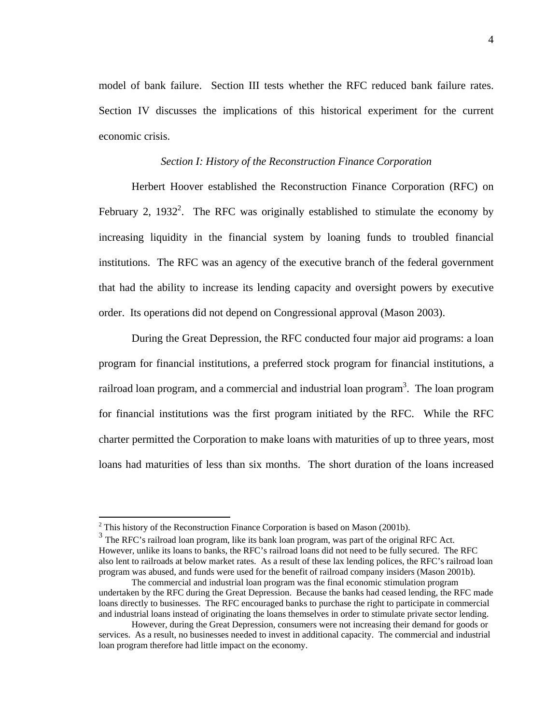model of bank failure. Section III tests whether the RFC reduced bank failure rates. Section IV discusses the implications of this historical experiment for the current economic crisis.

#### *Section I: History of the Reconstruction Finance Corporation*

Herbert Hoover established the Reconstruction Finance Corporation (RFC) on February 2, 1932<sup>2</sup>. The RFC was originally established to stimulate the economy by increasing liquidity in the financial system by loaning funds to troubled financial institutions. The RFC was an agency of the executive branch of the federal government that had the ability to increase its lending capacity and oversight powers by executive order. Its operations did not depend on Congressional approval (Mason 2003).

During the Great Depression, the RFC conducted four major aid programs: a loan program for financial institutions, a preferred stock program for financial institutions, a railroad loan program, and a commercial and industrial loan program<sup>3</sup>. The loan program for financial institutions was the first program initiated by the RFC. While the RFC charter permitted the Corporation to make loans with maturities of up to three years, most loans had maturities of less than six months. The short duration of the loans increased

<sup>&</sup>lt;sup>2</sup> This history of the Reconstruction Finance Corporation is based on Mason (2001b).

<sup>&</sup>lt;sup>3</sup> The RFC's railroad loan program, like its bank loan program, was part of the original RFC Act. However, unlike its loans to banks, the RFC's railroad loans did not need to be fully secured. The RFC also lent to railroads at below market rates. As a result of these lax lending polices, the RFC's railroad loan program was abused, and funds were used for the benefit of railroad company insiders (Mason 2001b).

The commercial and industrial loan program was the final economic stimulation program undertaken by the RFC during the Great Depression. Because the banks had ceased lending, the RFC made loans directly to businesses. The RFC encouraged banks to purchase the right to participate in commercial and industrial loans instead of originating the loans themselves in order to stimulate private sector lending.

However, during the Great Depression, consumers were not increasing their demand for goods or services. As a result, no businesses needed to invest in additional capacity. The commercial and industrial loan program therefore had little impact on the economy.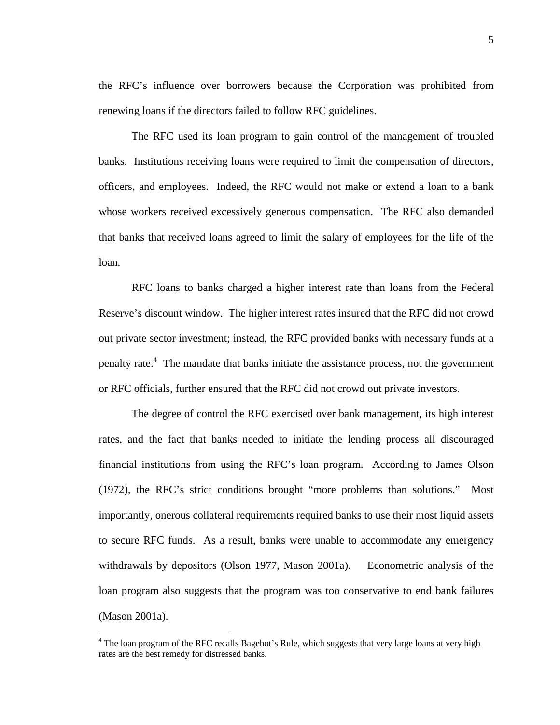the RFC's influence over borrowers because the Corporation was prohibited from renewing loans if the directors failed to follow RFC guidelines.

The RFC used its loan program to gain control of the management of troubled banks. Institutions receiving loans were required to limit the compensation of directors, officers, and employees. Indeed, the RFC would not make or extend a loan to a bank whose workers received excessively generous compensation. The RFC also demanded that banks that received loans agreed to limit the salary of employees for the life of the loan.

RFC loans to banks charged a higher interest rate than loans from the Federal Reserve's discount window. The higher interest rates insured that the RFC did not crowd out private sector investment; instead, the RFC provided banks with necessary funds at a penalty rate.<sup>4</sup> The mandate that banks initiate the assistance process, not the government or RFC officials, further ensured that the RFC did not crowd out private investors.

The degree of control the RFC exercised over bank management, its high interest rates, and the fact that banks needed to initiate the lending process all discouraged financial institutions from using the RFC's loan program. According to James Olson (1972), the RFC's strict conditions brought "more problems than solutions." Most importantly, onerous collateral requirements required banks to use their most liquid assets to secure RFC funds. As a result, banks were unable to accommodate any emergency withdrawals by depositors (Olson 1977, Mason 2001a). Econometric analysis of the loan program also suggests that the program was too conservative to end bank failures (Mason 2001a).

1

<sup>&</sup>lt;sup>4</sup> The loan program of the RFC recalls Bagehot's Rule, which suggests that very large loans at very high rates are the best remedy for distressed banks.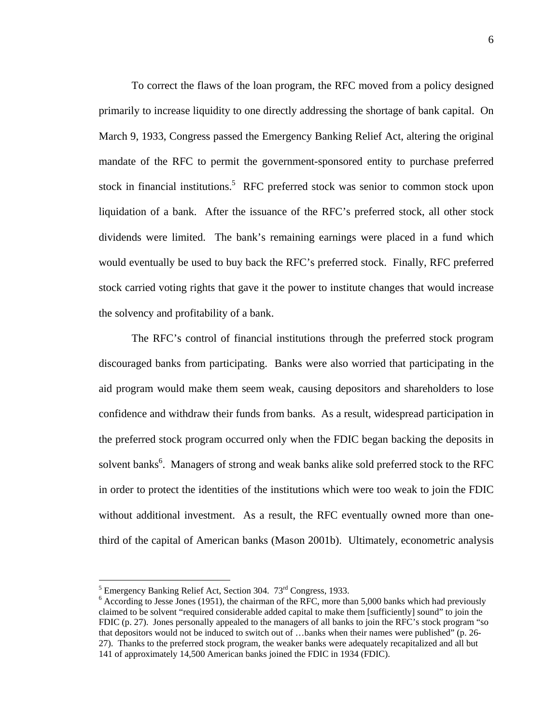To correct the flaws of the loan program, the RFC moved from a policy designed primarily to increase liquidity to one directly addressing the shortage of bank capital. On March 9, 1933, Congress passed the Emergency Banking Relief Act, altering the original mandate of the RFC to permit the government-sponsored entity to purchase preferred stock in financial institutions.<sup>5</sup> RFC preferred stock was senior to common stock upon liquidation of a bank. After the issuance of the RFC's preferred stock, all other stock dividends were limited. The bank's remaining earnings were placed in a fund which would eventually be used to buy back the RFC's preferred stock. Finally, RFC preferred stock carried voting rights that gave it the power to institute changes that would increase the solvency and profitability of a bank.

The RFC's control of financial institutions through the preferred stock program discouraged banks from participating. Banks were also worried that participating in the aid program would make them seem weak, causing depositors and shareholders to lose confidence and withdraw their funds from banks. As a result, widespread participation in the preferred stock program occurred only when the FDIC began backing the deposits in solvent banks<sup>6</sup>. Managers of strong and weak banks alike sold preferred stock to the RFC in order to protect the identities of the institutions which were too weak to join the FDIC without additional investment. As a result, the RFC eventually owned more than onethird of the capital of American banks (Mason 2001b). Ultimately, econometric analysis

<u>.</u>

Emergency Banking Relief Act, Section 304.  $73^{\text{rd}}$  Congress, 1933.

 $6$  According to Jesse Jones (1951), the chairman of the RFC, more than 5,000 banks which had previously claimed to be solvent "required considerable added capital to make them [sufficiently] sound" to join the FDIC (p. 27). Jones personally appealed to the managers of all banks to join the RFC's stock program "so that depositors would not be induced to switch out of …banks when their names were published" (p. 26- 27). Thanks to the preferred stock program, the weaker banks were adequately recapitalized and all but 141 of approximately 14,500 American banks joined the FDIC in 1934 (FDIC).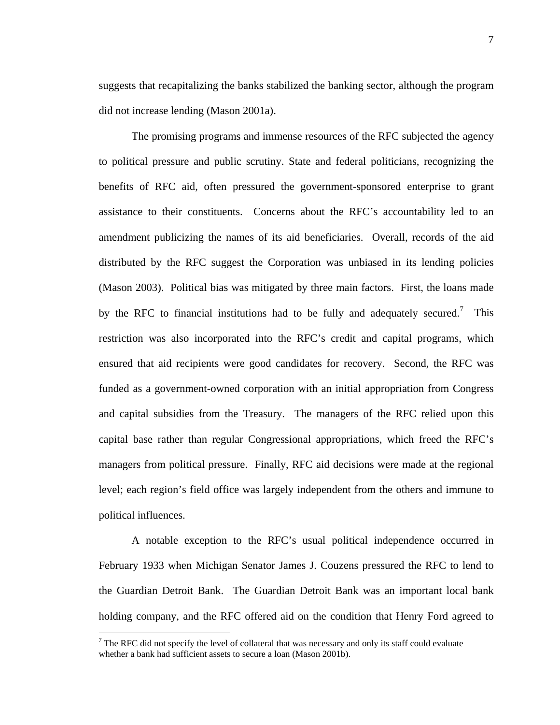suggests that recapitalizing the banks stabilized the banking sector, although the program did not increase lending (Mason 2001a).

The promising programs and immense resources of the RFC subjected the agency to political pressure and public scrutiny. State and federal politicians, recognizing the benefits of RFC aid, often pressured the government-sponsored enterprise to grant assistance to their constituents. Concerns about the RFC's accountability led to an amendment publicizing the names of its aid beneficiaries. Overall, records of the aid distributed by the RFC suggest the Corporation was unbiased in its lending policies (Mason 2003). Political bias was mitigated by three main factors. First, the loans made by the RFC to financial institutions had to be fully and adequately secured.<sup>7</sup> This restriction was also incorporated into the RFC's credit and capital programs, which ensured that aid recipients were good candidates for recovery. Second, the RFC was funded as a government-owned corporation with an initial appropriation from Congress and capital subsidies from the Treasury. The managers of the RFC relied upon this capital base rather than regular Congressional appropriations, which freed the RFC's managers from political pressure. Finally, RFC aid decisions were made at the regional level; each region's field office was largely independent from the others and immune to political influences.

A notable exception to the RFC's usual political independence occurred in February 1933 when Michigan Senator James J. Couzens pressured the RFC to lend to the Guardian Detroit Bank. The Guardian Detroit Bank was an important local bank holding company, and the RFC offered aid on the condition that Henry Ford agreed to

1

 $<sup>7</sup>$  The RFC did not specify the level of collateral that was necessary and only its staff could evaluate</sup> whether a bank had sufficient assets to secure a loan (Mason 2001b).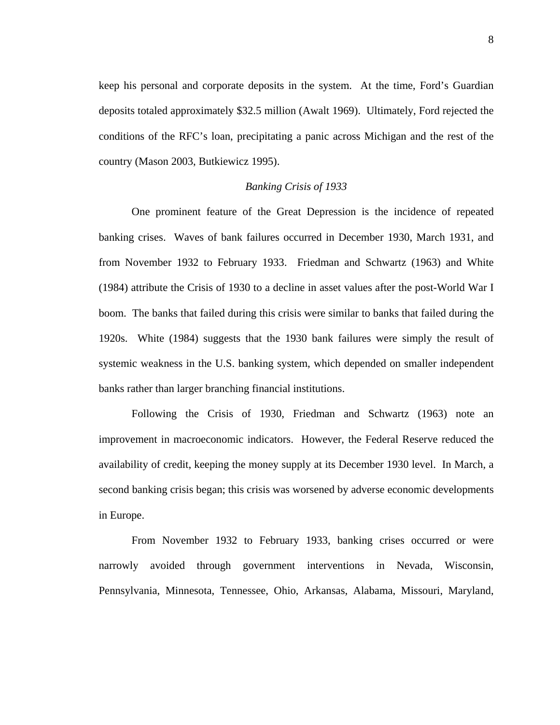keep his personal and corporate deposits in the system. At the time, Ford's Guardian deposits totaled approximately \$32.5 million (Awalt 1969). Ultimately, Ford rejected the conditions of the RFC's loan, precipitating a panic across Michigan and the rest of the country (Mason 2003, Butkiewicz 1995).

#### *Banking Crisis of 1933*

One prominent feature of the Great Depression is the incidence of repeated banking crises. Waves of bank failures occurred in December 1930, March 1931, and from November 1932 to February 1933. Friedman and Schwartz (1963) and White (1984) attribute the Crisis of 1930 to a decline in asset values after the post-World War I boom. The banks that failed during this crisis were similar to banks that failed during the 1920s. White (1984) suggests that the 1930 bank failures were simply the result of systemic weakness in the U.S. banking system, which depended on smaller independent banks rather than larger branching financial institutions.

Following the Crisis of 1930, Friedman and Schwartz (1963) note an improvement in macroeconomic indicators. However, the Federal Reserve reduced the availability of credit, keeping the money supply at its December 1930 level. In March, a second banking crisis began; this crisis was worsened by adverse economic developments in Europe.

From November 1932 to February 1933, banking crises occurred or were narrowly avoided through government interventions in Nevada, Wisconsin, Pennsylvania, Minnesota, Tennessee, Ohio, Arkansas, Alabama, Missouri, Maryland,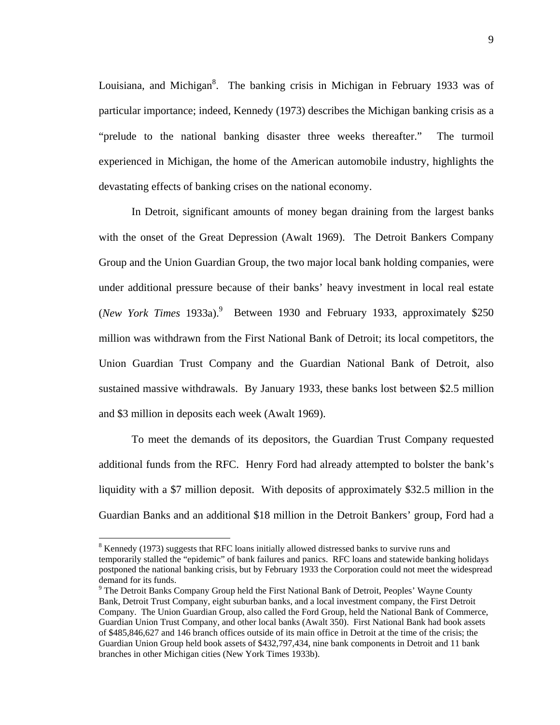Louisiana, and Michigan<sup>8</sup>. The banking crisis in Michigan in February 1933 was of particular importance; indeed, Kennedy (1973) describes the Michigan banking crisis as a "prelude to the national banking disaster three weeks thereafter." The turmoil experienced in Michigan, the home of the American automobile industry, highlights the devastating effects of banking crises on the national economy.

In Detroit, significant amounts of money began draining from the largest banks with the onset of the Great Depression (Awalt 1969). The Detroit Bankers Company Group and the Union Guardian Group, the two major local bank holding companies, were under additional pressure because of their banks' heavy investment in local real estate (*New York Times* 1933a).<sup>9</sup> Between 1930 and February 1933, approximately \$250 million was withdrawn from the First National Bank of Detroit; its local competitors, the Union Guardian Trust Company and the Guardian National Bank of Detroit, also sustained massive withdrawals. By January 1933, these banks lost between \$2.5 million and \$3 million in deposits each week (Awalt 1969).

 To meet the demands of its depositors, the Guardian Trust Company requested additional funds from the RFC. Henry Ford had already attempted to bolster the bank's liquidity with a \$7 million deposit. With deposits of approximately \$32.5 million in the Guardian Banks and an additional \$18 million in the Detroit Bankers' group, Ford had a

1

 $8$  Kennedy (1973) suggests that RFC loans initially allowed distressed banks to survive runs and temporarily stalled the "epidemic" of bank failures and panics. RFC loans and statewide banking holidays postponed the national banking crisis, but by February 1933 the Corporation could not meet the widespread demand for its funds.

<sup>&</sup>lt;sup>9</sup> The Detroit Banks Company Group held the First National Bank of Detroit, Peoples' Wayne County Bank, Detroit Trust Company, eight suburban banks, and a local investment company, the First Detroit Company. The Union Guardian Group, also called the Ford Group, held the National Bank of Commerce, Guardian Union Trust Company, and other local banks (Awalt 350). First National Bank had book assets of \$485,846,627 and 146 branch offices outside of its main office in Detroit at the time of the crisis; the Guardian Union Group held book assets of \$432,797,434, nine bank components in Detroit and 11 bank branches in other Michigan cities (New York Times 1933b).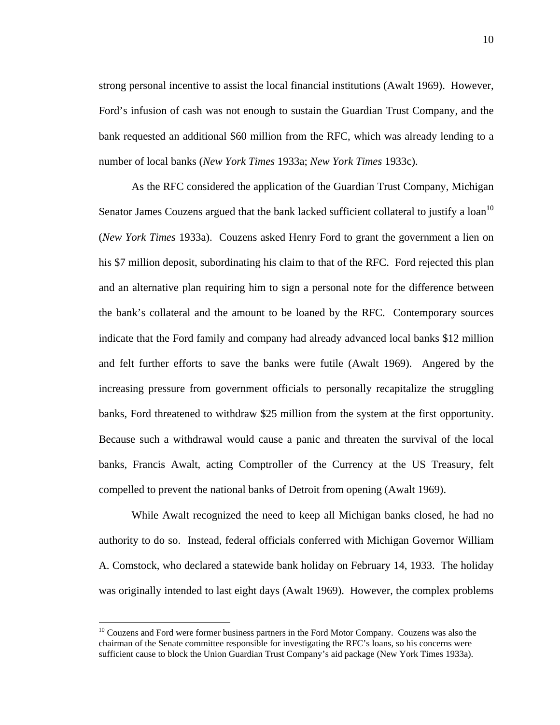strong personal incentive to assist the local financial institutions (Awalt 1969). However, Ford's infusion of cash was not enough to sustain the Guardian Trust Company, and the bank requested an additional \$60 million from the RFC, which was already lending to a number of local banks (*New York Times* 1933a; *New York Times* 1933c).

 As the RFC considered the application of the Guardian Trust Company, Michigan Senator James Couzens argued that the bank lacked sufficient collateral to justify a  $\alpha$  loan<sup>10</sup> (*New York Times* 1933a). Couzens asked Henry Ford to grant the government a lien on his \$7 million deposit, subordinating his claim to that of the RFC. Ford rejected this plan and an alternative plan requiring him to sign a personal note for the difference between the bank's collateral and the amount to be loaned by the RFC. Contemporary sources indicate that the Ford family and company had already advanced local banks \$12 million and felt further efforts to save the banks were futile (Awalt 1969). Angered by the increasing pressure from government officials to personally recapitalize the struggling banks, Ford threatened to withdraw \$25 million from the system at the first opportunity. Because such a withdrawal would cause a panic and threaten the survival of the local banks, Francis Awalt, acting Comptroller of the Currency at the US Treasury, felt compelled to prevent the national banks of Detroit from opening (Awalt 1969).

 While Awalt recognized the need to keep all Michigan banks closed, he had no authority to do so. Instead, federal officials conferred with Michigan Governor William A. Comstock, who declared a statewide bank holiday on February 14, 1933. The holiday was originally intended to last eight days (Awalt 1969). However, the complex problems

1

 $10$  Couzens and Ford were former business partners in the Ford Motor Company. Couzens was also the chairman of the Senate committee responsible for investigating the RFC's loans, so his concerns were sufficient cause to block the Union Guardian Trust Company's aid package (New York Times 1933a).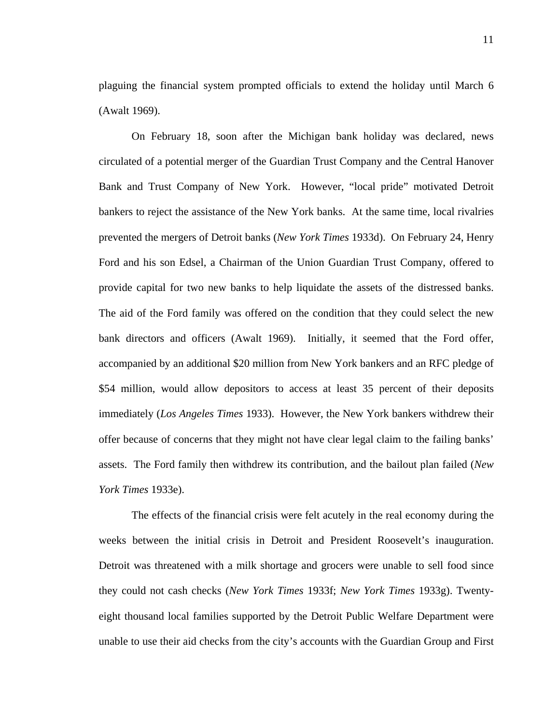plaguing the financial system prompted officials to extend the holiday until March 6 (Awalt 1969).

On February 18, soon after the Michigan bank holiday was declared, news circulated of a potential merger of the Guardian Trust Company and the Central Hanover Bank and Trust Company of New York. However, "local pride" motivated Detroit bankers to reject the assistance of the New York banks. At the same time, local rivalries prevented the mergers of Detroit banks (*New York Times* 1933d). On February 24, Henry Ford and his son Edsel, a Chairman of the Union Guardian Trust Company, offered to provide capital for two new banks to help liquidate the assets of the distressed banks. The aid of the Ford family was offered on the condition that they could select the new bank directors and officers (Awalt 1969). Initially, it seemed that the Ford offer, accompanied by an additional \$20 million from New York bankers and an RFC pledge of \$54 million, would allow depositors to access at least 35 percent of their deposits immediately (*Los Angeles Times* 1933). However, the New York bankers withdrew their offer because of concerns that they might not have clear legal claim to the failing banks' assets. The Ford family then withdrew its contribution, and the bailout plan failed (*New York Times* 1933e).

The effects of the financial crisis were felt acutely in the real economy during the weeks between the initial crisis in Detroit and President Roosevelt's inauguration. Detroit was threatened with a milk shortage and grocers were unable to sell food since they could not cash checks (*New York Times* 1933f; *New York Times* 1933g). Twentyeight thousand local families supported by the Detroit Public Welfare Department were unable to use their aid checks from the city's accounts with the Guardian Group and First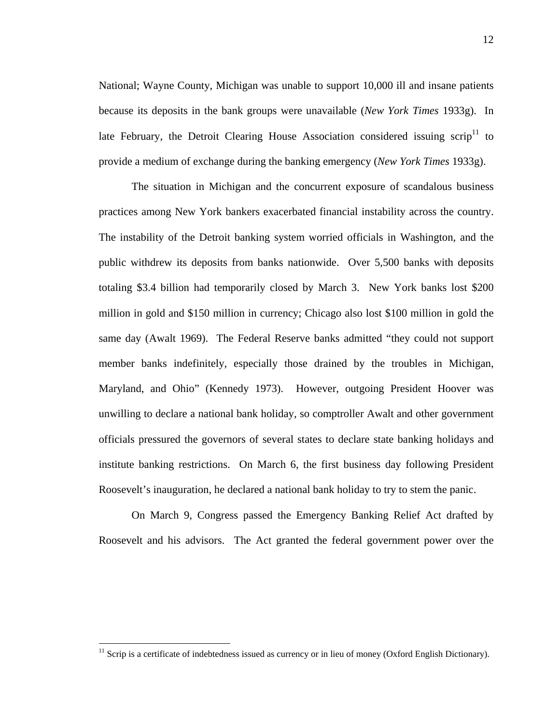National; Wayne County, Michigan was unable to support 10,000 ill and insane patients because its deposits in the bank groups were unavailable (*New York Times* 1933g). In late February, the Detroit Clearing House Association considered issuing scrip<sup>11</sup> to provide a medium of exchange during the banking emergency (*New York Times* 1933g).

The situation in Michigan and the concurrent exposure of scandalous business practices among New York bankers exacerbated financial instability across the country. The instability of the Detroit banking system worried officials in Washington, and the public withdrew its deposits from banks nationwide. Over 5,500 banks with deposits totaling \$3.4 billion had temporarily closed by March 3. New York banks lost \$200 million in gold and \$150 million in currency; Chicago also lost \$100 million in gold the same day (Awalt 1969). The Federal Reserve banks admitted "they could not support member banks indefinitely, especially those drained by the troubles in Michigan, Maryland, and Ohio" (Kennedy 1973). However, outgoing President Hoover was unwilling to declare a national bank holiday, so comptroller Awalt and other government officials pressured the governors of several states to declare state banking holidays and institute banking restrictions. On March 6, the first business day following President Roosevelt's inauguration, he declared a national bank holiday to try to stem the panic.

On March 9, Congress passed the Emergency Banking Relief Act drafted by Roosevelt and his advisors. The Act granted the federal government power over the

<u>.</u>

<sup>&</sup>lt;sup>11</sup> Scrip is a certificate of indebtedness issued as currency or in lieu of money (Oxford English Dictionary).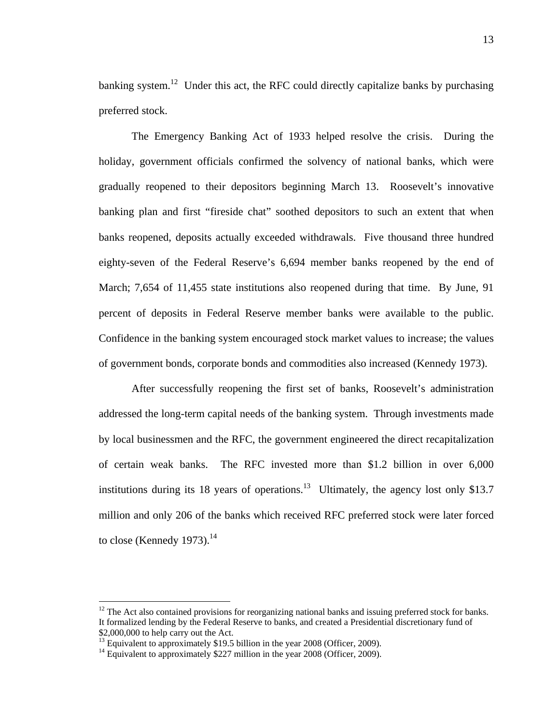banking system.<sup>12</sup> Under this act, the RFC could directly capitalize banks by purchasing preferred stock.

The Emergency Banking Act of 1933 helped resolve the crisis. During the holiday, government officials confirmed the solvency of national banks, which were gradually reopened to their depositors beginning March 13. Roosevelt's innovative banking plan and first "fireside chat" soothed depositors to such an extent that when banks reopened, deposits actually exceeded withdrawals. Five thousand three hundred eighty-seven of the Federal Reserve's 6,694 member banks reopened by the end of March; 7,654 of 11,455 state institutions also reopened during that time. By June, 91 percent of deposits in Federal Reserve member banks were available to the public. Confidence in the banking system encouraged stock market values to increase; the values of government bonds, corporate bonds and commodities also increased (Kennedy 1973).

After successfully reopening the first set of banks, Roosevelt's administration addressed the long-term capital needs of the banking system. Through investments made by local businessmen and the RFC, the government engineered the direct recapitalization of certain weak banks. The RFC invested more than \$1.2 billion in over 6,000 institutions during its 18 years of operations.<sup>13</sup> Ultimately, the agency lost only \$13.7 million and only 206 of the banks which received RFC preferred stock were later forced to close (Kennedy 1973). $^{14}$ 

 $\overline{a}$ 

<sup>&</sup>lt;sup>12</sup> The Act also contained provisions for reorganizing national banks and issuing preferred stock for banks. It formalized lending by the Federal Reserve to banks, and created a Presidential discretionary fund of \$2,000,000 to help carry out the Act.

<sup>&</sup>lt;sup>13</sup> Equivalent to approximately \$19.5 billion in the year 2008 (Officer, 2009).

<sup>&</sup>lt;sup>14</sup> Equivalent to approximately \$227 million in the year 2008 (Officer, 2009).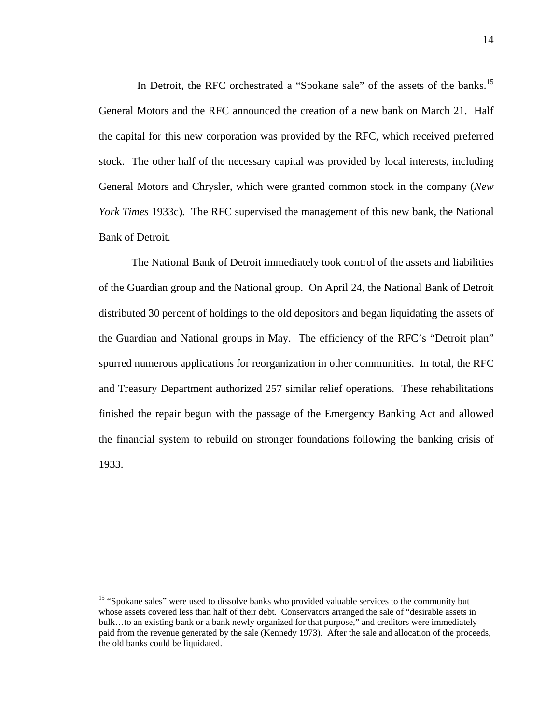In Detroit, the RFC orchestrated a "Spokane sale" of the assets of the banks.<sup>15</sup> General Motors and the RFC announced the creation of a new bank on March 21. Half the capital for this new corporation was provided by the RFC, which received preferred stock. The other half of the necessary capital was provided by local interests, including General Motors and Chrysler, which were granted common stock in the company (*New York Times* 1933c). The RFC supervised the management of this new bank, the National Bank of Detroit.

The National Bank of Detroit immediately took control of the assets and liabilities of the Guardian group and the National group. On April 24, the National Bank of Detroit distributed 30 percent of holdings to the old depositors and began liquidating the assets of the Guardian and National groups in May. The efficiency of the RFC's "Detroit plan" spurred numerous applications for reorganization in other communities. In total, the RFC and Treasury Department authorized 257 similar relief operations. These rehabilitations finished the repair begun with the passage of the Emergency Banking Act and allowed the financial system to rebuild on stronger foundations following the banking crisis of 1933.

 $\overline{a}$ 

<sup>&</sup>lt;sup>15</sup> "Spokane sales" were used to dissolve banks who provided valuable services to the community but whose assets covered less than half of their debt. Conservators arranged the sale of "desirable assets in bulk…to an existing bank or a bank newly organized for that purpose," and creditors were immediately paid from the revenue generated by the sale (Kennedy 1973). After the sale and allocation of the proceeds, the old banks could be liquidated.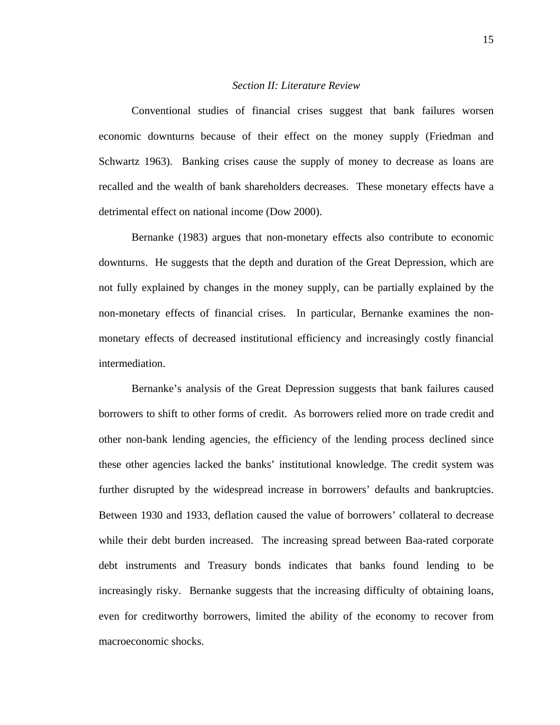#### *Section II: Literature Review*

Conventional studies of financial crises suggest that bank failures worsen economic downturns because of their effect on the money supply (Friedman and Schwartz 1963). Banking crises cause the supply of money to decrease as loans are recalled and the wealth of bank shareholders decreases. These monetary effects have a detrimental effect on national income (Dow 2000).

Bernanke (1983) argues that non-monetary effects also contribute to economic downturns. He suggests that the depth and duration of the Great Depression, which are not fully explained by changes in the money supply, can be partially explained by the non-monetary effects of financial crises. In particular, Bernanke examines the nonmonetary effects of decreased institutional efficiency and increasingly costly financial intermediation.

Bernanke's analysis of the Great Depression suggests that bank failures caused borrowers to shift to other forms of credit. As borrowers relied more on trade credit and other non-bank lending agencies, the efficiency of the lending process declined since these other agencies lacked the banks' institutional knowledge. The credit system was further disrupted by the widespread increase in borrowers' defaults and bankruptcies. Between 1930 and 1933, deflation caused the value of borrowers' collateral to decrease while their debt burden increased. The increasing spread between Baa-rated corporate debt instruments and Treasury bonds indicates that banks found lending to be increasingly risky. Bernanke suggests that the increasing difficulty of obtaining loans, even for creditworthy borrowers, limited the ability of the economy to recover from macroeconomic shocks.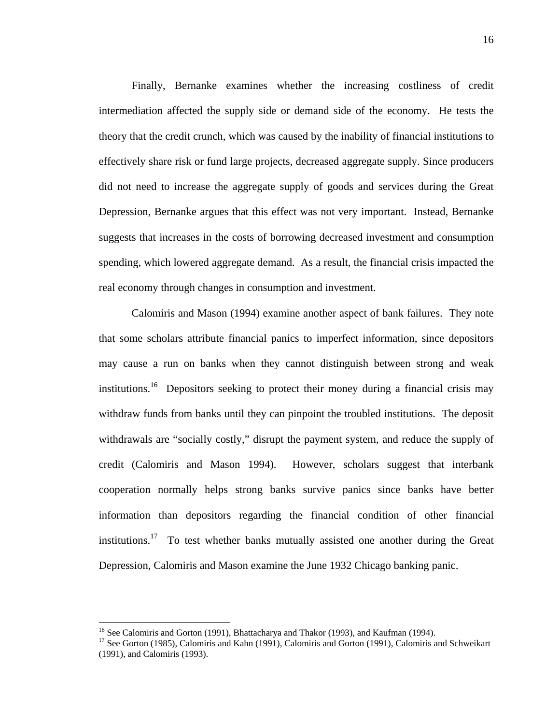Finally, Bernanke examines whether the increasing costliness of credit intermediation affected the supply side or demand side of the economy. He tests the theory that the credit crunch, which was caused by the inability of financial institutions to effectively share risk or fund large projects, decreased aggregate supply. Since producers did not need to increase the aggregate supply of goods and services during the Great Depression, Bernanke argues that this effect was not very important. Instead, Bernanke suggests that increases in the costs of borrowing decreased investment and consumption spending, which lowered aggregate demand. As a result, the financial crisis impacted the real economy through changes in consumption and investment.

Calomiris and Mason (1994) examine another aspect of bank failures. They note that some scholars attribute financial panics to imperfect information, since depositors may cause a run on banks when they cannot distinguish between strong and weak institutions.<sup>16</sup> Depositors seeking to protect their money during a financial crisis may withdraw funds from banks until they can pinpoint the troubled institutions. The deposit withdrawals are "socially costly," disrupt the payment system, and reduce the supply of credit (Calomiris and Mason 1994). However, scholars suggest that interbank cooperation normally helps strong banks survive panics since banks have better information than depositors regarding the financial condition of other financial institutions.<sup>17</sup> To test whether banks mutually assisted one another during the Great Depression, Calomiris and Mason examine the June 1932 Chicago banking panic.

1

<sup>&</sup>lt;sup>16</sup> See Calomiris and Gorton (1991), Bhattacharya and Thakor (1993), and Kaufman (1994).

<sup>&</sup>lt;sup>17</sup> See Gorton (1985), Calomiris and Kahn (1991), Calomiris and Gorton (1991), Calomiris and Schweikart (1991), and Calomiris (1993).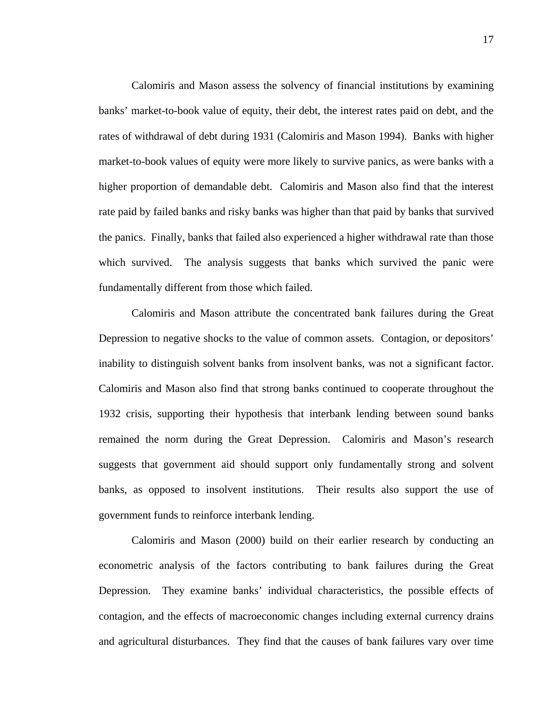Calomiris and Mason assess the solvency of financial institutions by examining banks' market-to-book value of equity, their debt, the interest rates paid on debt, and the rates of withdrawal of debt during 1931 (Calomiris and Mason 1994). Banks with higher market-to-book values of equity were more likely to survive panics, as were banks with a higher proportion of demandable debt. Calomiris and Mason also find that the interest rate paid by failed banks and risky banks was higher than that paid by banks that survived the panics. Finally, banks that failed also experienced a higher withdrawal rate than those which survived. The analysis suggests that banks which survived the panic were fundamentally different from those which failed.

Calomiris and Mason attribute the concentrated bank failures during the Great Depression to negative shocks to the value of common assets. Contagion, or depositors' inability to distinguish solvent banks from insolvent banks, was not a significant factor. Calomiris and Mason also find that strong banks continued to cooperate throughout the 1932 crisis, supporting their hypothesis that interbank lending between sound banks remained the norm during the Great Depression. Calomiris and Mason's research suggests that government aid should support only fundamentally strong and solvent banks, as opposed to insolvent institutions. Their results also support the use of government funds to reinforce interbank lending.

Calomiris and Mason (2000) build on their earlier research by conducting an econometric analysis of the factors contributing to bank failures during the Great Depression. They examine banks' individual characteristics, the possible effects of contagion, and the effects of macroeconomic changes including external currency drains and agricultural disturbances. They find that the causes of bank failures vary over time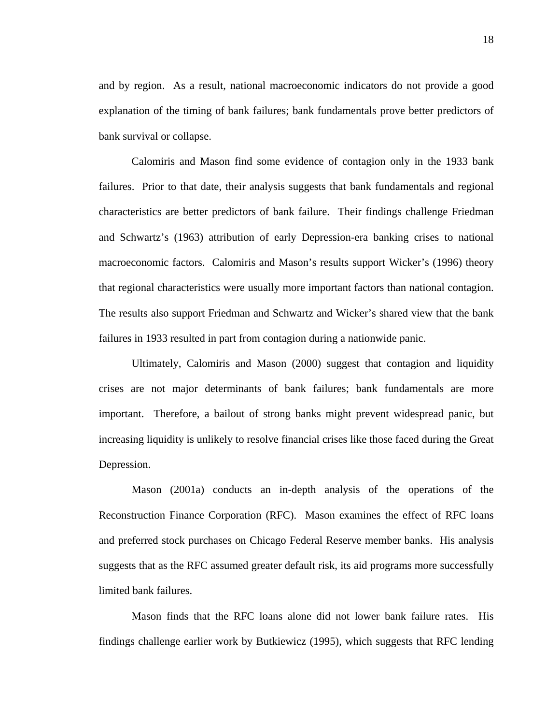and by region. As a result, national macroeconomic indicators do not provide a good explanation of the timing of bank failures; bank fundamentals prove better predictors of bank survival or collapse.

Calomiris and Mason find some evidence of contagion only in the 1933 bank failures. Prior to that date, their analysis suggests that bank fundamentals and regional characteristics are better predictors of bank failure. Their findings challenge Friedman and Schwartz's (1963) attribution of early Depression-era banking crises to national macroeconomic factors. Calomiris and Mason's results support Wicker's (1996) theory that regional characteristics were usually more important factors than national contagion. The results also support Friedman and Schwartz and Wicker's shared view that the bank failures in 1933 resulted in part from contagion during a nationwide panic.

Ultimately, Calomiris and Mason (2000) suggest that contagion and liquidity crises are not major determinants of bank failures; bank fundamentals are more important. Therefore, a bailout of strong banks might prevent widespread panic, but increasing liquidity is unlikely to resolve financial crises like those faced during the Great Depression.

Mason (2001a) conducts an in-depth analysis of the operations of the Reconstruction Finance Corporation (RFC). Mason examines the effect of RFC loans and preferred stock purchases on Chicago Federal Reserve member banks. His analysis suggests that as the RFC assumed greater default risk, its aid programs more successfully limited bank failures.

Mason finds that the RFC loans alone did not lower bank failure rates. His findings challenge earlier work by Butkiewicz (1995), which suggests that RFC lending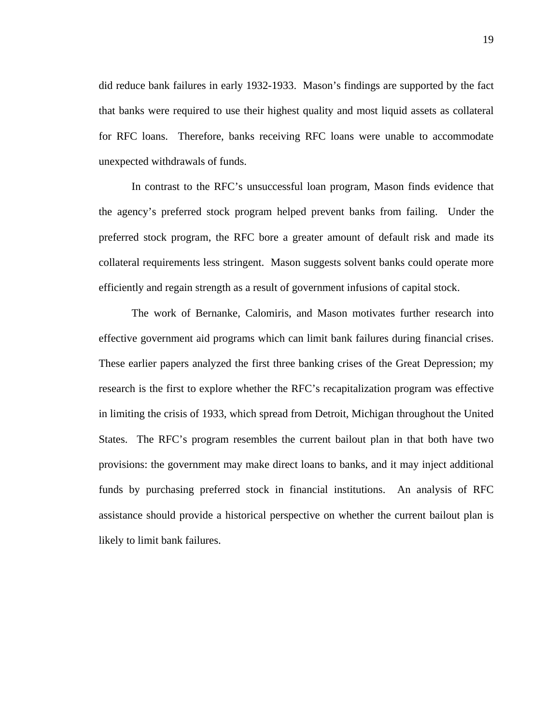did reduce bank failures in early 1932-1933. Mason's findings are supported by the fact that banks were required to use their highest quality and most liquid assets as collateral for RFC loans. Therefore, banks receiving RFC loans were unable to accommodate unexpected withdrawals of funds.

In contrast to the RFC's unsuccessful loan program, Mason finds evidence that the agency's preferred stock program helped prevent banks from failing. Under the preferred stock program, the RFC bore a greater amount of default risk and made its collateral requirements less stringent. Mason suggests solvent banks could operate more efficiently and regain strength as a result of government infusions of capital stock.

The work of Bernanke, Calomiris, and Mason motivates further research into effective government aid programs which can limit bank failures during financial crises. These earlier papers analyzed the first three banking crises of the Great Depression; my research is the first to explore whether the RFC's recapitalization program was effective in limiting the crisis of 1933, which spread from Detroit, Michigan throughout the United States. The RFC's program resembles the current bailout plan in that both have two provisions: the government may make direct loans to banks, and it may inject additional funds by purchasing preferred stock in financial institutions. An analysis of RFC assistance should provide a historical perspective on whether the current bailout plan is likely to limit bank failures.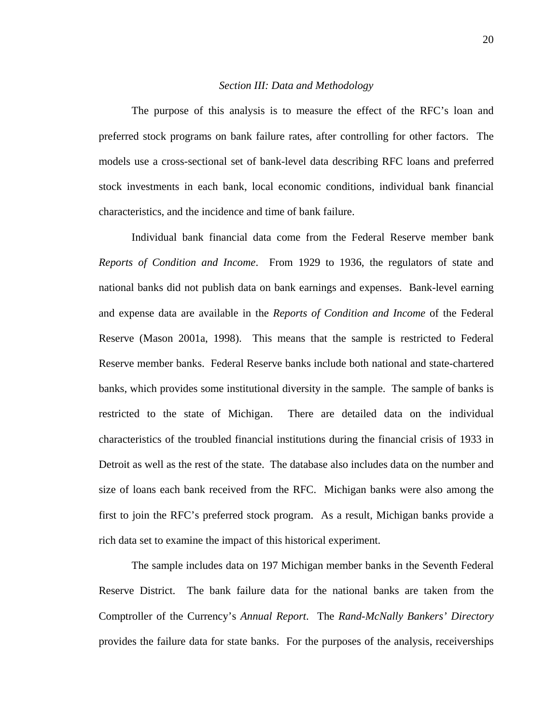#### *Section III: Data and Methodology*

The purpose of this analysis is to measure the effect of the RFC's loan and preferred stock programs on bank failure rates, after controlling for other factors. The models use a cross-sectional set of bank-level data describing RFC loans and preferred stock investments in each bank, local economic conditions, individual bank financial characteristics, and the incidence and time of bank failure.

Individual bank financial data come from the Federal Reserve member bank *Reports of Condition and Income*. From 1929 to 1936, the regulators of state and national banks did not publish data on bank earnings and expenses. Bank-level earning and expense data are available in the *Reports of Condition and Income* of the Federal Reserve (Mason 2001a, 1998). This means that the sample is restricted to Federal Reserve member banks. Federal Reserve banks include both national and state-chartered banks, which provides some institutional diversity in the sample. The sample of banks is restricted to the state of Michigan. There are detailed data on the individual characteristics of the troubled financial institutions during the financial crisis of 1933 in Detroit as well as the rest of the state. The database also includes data on the number and size of loans each bank received from the RFC. Michigan banks were also among the first to join the RFC's preferred stock program. As a result, Michigan banks provide a rich data set to examine the impact of this historical experiment.

The sample includes data on 197 Michigan member banks in the Seventh Federal Reserve District. The bank failure data for the national banks are taken from the Comptroller of the Currency's *Annual Report*. The *Rand-McNally Bankers' Directory* provides the failure data for state banks. For the purposes of the analysis, receiverships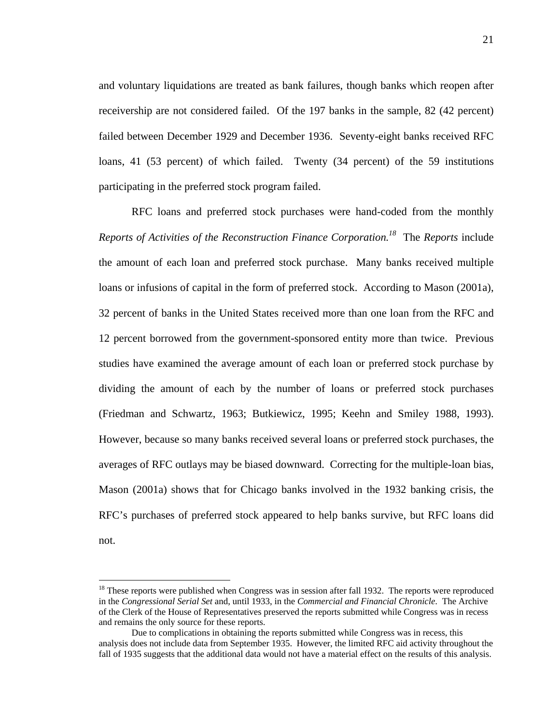and voluntary liquidations are treated as bank failures, though banks which reopen after receivership are not considered failed. Of the 197 banks in the sample, 82 (42 percent) failed between December 1929 and December 1936. Seventy-eight banks received RFC loans, 41 (53 percent) of which failed. Twenty (34 percent) of the 59 institutions participating in the preferred stock program failed.

RFC loans and preferred stock purchases were hand-coded from the monthly *Reports of Activities of the Reconstruction Finance Corporation.18* The *Reports* include the amount of each loan and preferred stock purchase. Many banks received multiple loans or infusions of capital in the form of preferred stock. According to Mason (2001a), 32 percent of banks in the United States received more than one loan from the RFC and 12 percent borrowed from the government-sponsored entity more than twice. Previous studies have examined the average amount of each loan or preferred stock purchase by dividing the amount of each by the number of loans or preferred stock purchases (Friedman and Schwartz, 1963; Butkiewicz, 1995; Keehn and Smiley 1988, 1993). However, because so many banks received several loans or preferred stock purchases, the averages of RFC outlays may be biased downward. Correcting for the multiple-loan bias, Mason (2001a) shows that for Chicago banks involved in the 1932 banking crisis, the RFC's purchases of preferred stock appeared to help banks survive, but RFC loans did not.

<u>.</u>

 $18$  These reports were published when Congress was in session after fall 1932. The reports were reproduced in the *Congressional Serial Set* and, until 1933, in the *Commercial and Financial Chronicle*. The Archive of the Clerk of the House of Representatives preserved the reports submitted while Congress was in recess and remains the only source for these reports.

Due to complications in obtaining the reports submitted while Congress was in recess, this analysis does not include data from September 1935. However, the limited RFC aid activity throughout the fall of 1935 suggests that the additional data would not have a material effect on the results of this analysis.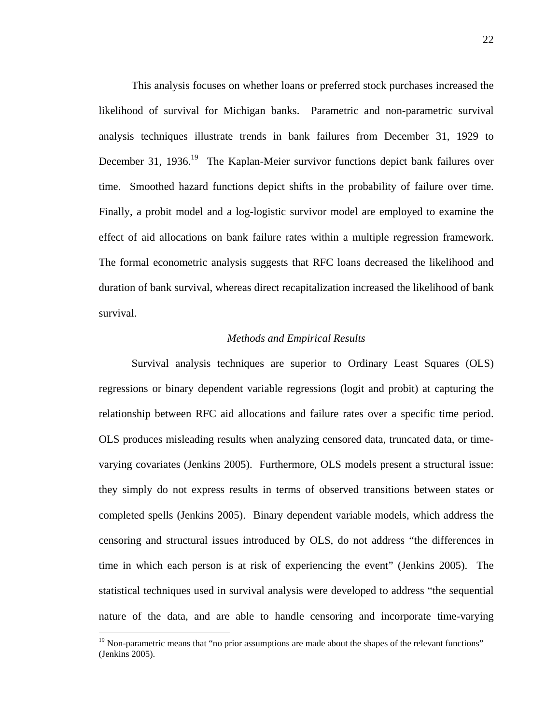This analysis focuses on whether loans or preferred stock purchases increased the likelihood of survival for Michigan banks. Parametric and non-parametric survival analysis techniques illustrate trends in bank failures from December 31, 1929 to December 31, 1936.<sup>19</sup> The Kaplan-Meier survivor functions depict bank failures over time. Smoothed hazard functions depict shifts in the probability of failure over time. Finally, a probit model and a log-logistic survivor model are employed to examine the effect of aid allocations on bank failure rates within a multiple regression framework. The formal econometric analysis suggests that RFC loans decreased the likelihood and duration of bank survival, whereas direct recapitalization increased the likelihood of bank survival.

#### *Methods and Empirical Results*

Survival analysis techniques are superior to Ordinary Least Squares (OLS) regressions or binary dependent variable regressions (logit and probit) at capturing the relationship between RFC aid allocations and failure rates over a specific time period. OLS produces misleading results when analyzing censored data, truncated data, or timevarying covariates (Jenkins 2005). Furthermore, OLS models present a structural issue: they simply do not express results in terms of observed transitions between states or completed spells (Jenkins 2005). Binary dependent variable models, which address the censoring and structural issues introduced by OLS, do not address "the differences in time in which each person is at risk of experiencing the event" (Jenkins 2005). The statistical techniques used in survival analysis were developed to address "the sequential nature of the data, and are able to handle censoring and incorporate time-varying

1

<sup>&</sup>lt;sup>19</sup> Non-parametric means that "no prior assumptions are made about the shapes of the relevant functions" (Jenkins 2005).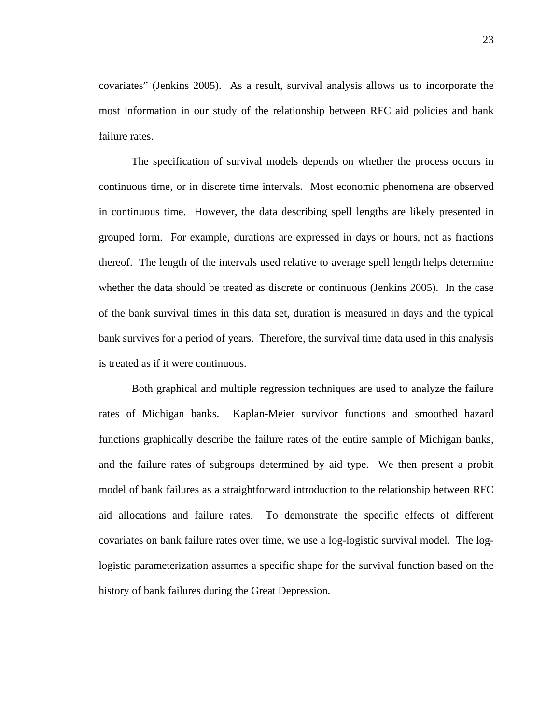covariates" (Jenkins 2005). As a result, survival analysis allows us to incorporate the most information in our study of the relationship between RFC aid policies and bank failure rates.

The specification of survival models depends on whether the process occurs in continuous time, or in discrete time intervals. Most economic phenomena are observed in continuous time. However, the data describing spell lengths are likely presented in grouped form. For example, durations are expressed in days or hours, not as fractions thereof. The length of the intervals used relative to average spell length helps determine whether the data should be treated as discrete or continuous (Jenkins 2005). In the case of the bank survival times in this data set, duration is measured in days and the typical bank survives for a period of years. Therefore, the survival time data used in this analysis is treated as if it were continuous.

Both graphical and multiple regression techniques are used to analyze the failure rates of Michigan banks. Kaplan-Meier survivor functions and smoothed hazard functions graphically describe the failure rates of the entire sample of Michigan banks, and the failure rates of subgroups determined by aid type. We then present a probit model of bank failures as a straightforward introduction to the relationship between RFC aid allocations and failure rates. To demonstrate the specific effects of different covariates on bank failure rates over time, we use a log-logistic survival model. The loglogistic parameterization assumes a specific shape for the survival function based on the history of bank failures during the Great Depression.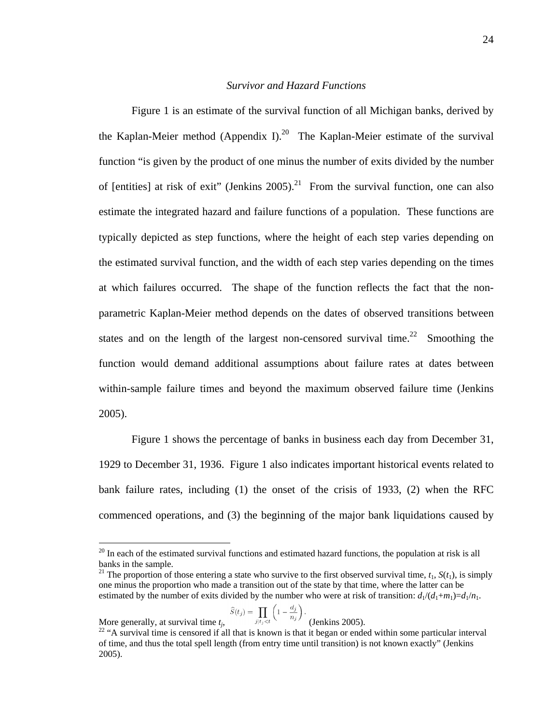#### *Survivor and Hazard Functions*

 Figure 1 is an estimate of the survival function of all Michigan banks, derived by the Kaplan-Meier method (Appendix I).<sup>20</sup> The Kaplan-Meier estimate of the survival function "is given by the product of one minus the number of exits divided by the number of [entities] at risk of exit" (Jenkins 2005).<sup>21</sup> From the survival function, one can also estimate the integrated hazard and failure functions of a population. These functions are typically depicted as step functions, where the height of each step varies depending on the estimated survival function, and the width of each step varies depending on the times at which failures occurred. The shape of the function reflects the fact that the nonparametric Kaplan-Meier method depends on the dates of observed transitions between states and on the length of the largest non-censored survival time.<sup>22</sup> Smoothing the function would demand additional assumptions about failure rates at dates between within-sample failure times and beyond the maximum observed failure time (Jenkins 2005).

Figure 1 shows the percentage of banks in business each day from December 31, 1929 to December 31, 1936. Figure 1 also indicates important historical events related to bank failure rates, including (1) the onset of the crisis of 1933, (2) when the RFC commenced operations, and (3) the beginning of the major bank liquidations caused by

$$
\widehat{S}(t_j) = \prod_{j|t_j < t} \left( 1 - \frac{d_j}{n_j} \right).
$$

 $\overline{a}$ 

 $20$  In each of the estimated survival functions and estimated hazard functions, the population at risk is all banks in the sample.

<sup>&</sup>lt;sup>21</sup> The proportion of those entering a state who survive to the first observed survival time,  $t_1$ ,  $S(t_1)$ , is simply one minus the proportion who made a transition out of the state by that time, where the latter can be estimated by the number of exits divided by the number who were at risk of transition:  $d_1/(d_1+m_1)=d_1/n_1$ .

More generally, at survival time  $t_j$ ,  $\frac{j_l t_j \zeta_t}{j}$  (Jenkins 2005).<br><sup>22</sup> "A survival time is censored if all that is known is that it began or ended within some particular interval of time, and thus the total spell length (from entry time until transition) is not known exactly" (Jenkins 2005).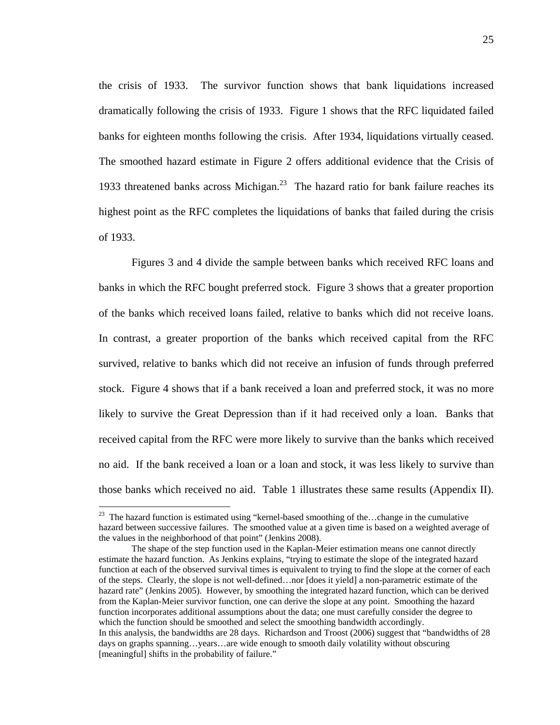the crisis of 1933. The survivor function shows that bank liquidations increased dramatically following the crisis of 1933. Figure 1 shows that the RFC liquidated failed banks for eighteen months following the crisis. After 1934, liquidations virtually ceased. The smoothed hazard estimate in Figure 2 offers additional evidence that the Crisis of 1933 threatened banks across Michigan.<sup>23</sup> The hazard ratio for bank failure reaches its highest point as the RFC completes the liquidations of banks that failed during the crisis of 1933.

Figures 3 and 4 divide the sample between banks which received RFC loans and banks in which the RFC bought preferred stock. Figure 3 shows that a greater proportion of the banks which received loans failed, relative to banks which did not receive loans. In contrast, a greater proportion of the banks which received capital from the RFC survived, relative to banks which did not receive an infusion of funds through preferred stock. Figure 4 shows that if a bank received a loan and preferred stock, it was no more likely to survive the Great Depression than if it had received only a loan. Banks that received capital from the RFC were more likely to survive than the banks which received no aid. If the bank received a loan or a loan and stock, it was less likely to survive than those banks which received no aid. Table 1 illustrates these same results (Appendix II).

 $\overline{a}$ 

 $23$  The hazard function is estimated using "kernel-based smoothing of the...change in the cumulative hazard between successive failures. The smoothed value at a given time is based on a weighted average of the values in the neighborhood of that point" (Jenkins 2008).

The shape of the step function used in the Kaplan-Meier estimation means one cannot directly estimate the hazard function. As Jenkins explains, "trying to estimate the slope of the integrated hazard function at each of the observed survival times is equivalent to trying to find the slope at the corner of each of the steps. Clearly, the slope is not well-defined…nor [does it yield] a non-parametric estimate of the hazard rate" (Jenkins 2005). However, by smoothing the integrated hazard function, which can be derived from the Kaplan-Meier survivor function, one can derive the slope at any point. Smoothing the hazard function incorporates additional assumptions about the data; one must carefully consider the degree to which the function should be smoothed and select the smoothing bandwidth accordingly. In this analysis, the bandwidths are 28 days. Richardson and Troost (2006) suggest that "bandwidths of 28 days on graphs spanning…years…are wide enough to smooth daily volatility without obscuring [meaningful] shifts in the probability of failure."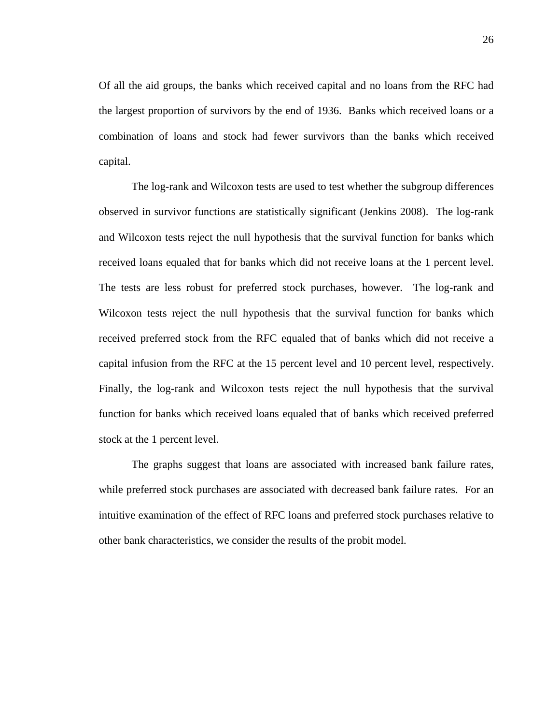Of all the aid groups, the banks which received capital and no loans from the RFC had the largest proportion of survivors by the end of 1936. Banks which received loans or a combination of loans and stock had fewer survivors than the banks which received capital.

 The log-rank and Wilcoxon tests are used to test whether the subgroup differences observed in survivor functions are statistically significant (Jenkins 2008). The log-rank and Wilcoxon tests reject the null hypothesis that the survival function for banks which received loans equaled that for banks which did not receive loans at the 1 percent level. The tests are less robust for preferred stock purchases, however. The log-rank and Wilcoxon tests reject the null hypothesis that the survival function for banks which received preferred stock from the RFC equaled that of banks which did not receive a capital infusion from the RFC at the 15 percent level and 10 percent level, respectively. Finally, the log-rank and Wilcoxon tests reject the null hypothesis that the survival function for banks which received loans equaled that of banks which received preferred stock at the 1 percent level.

 The graphs suggest that loans are associated with increased bank failure rates, while preferred stock purchases are associated with decreased bank failure rates. For an intuitive examination of the effect of RFC loans and preferred stock purchases relative to other bank characteristics, we consider the results of the probit model.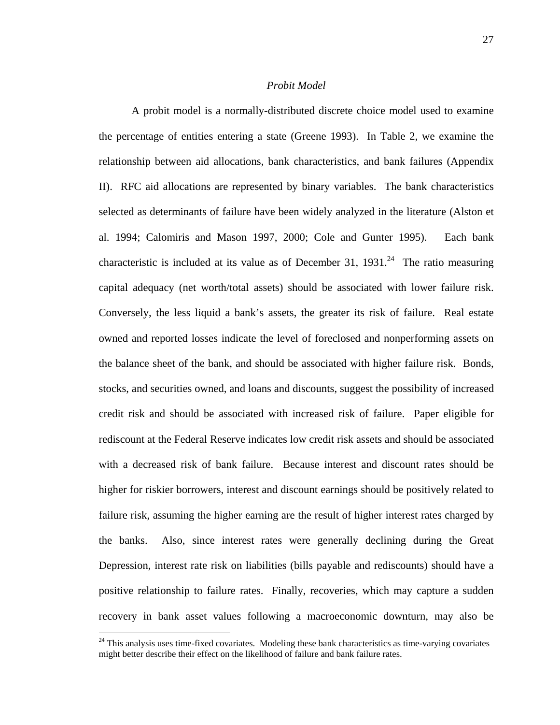#### *Probit Model*

 A probit model is a normally-distributed discrete choice model used to examine the percentage of entities entering a state (Greene 1993). In Table 2, we examine the relationship between aid allocations, bank characteristics, and bank failures (Appendix II). RFC aid allocations are represented by binary variables. The bank characteristics selected as determinants of failure have been widely analyzed in the literature (Alston et al. 1994; Calomiris and Mason 1997, 2000; Cole and Gunter 1995). Each bank characteristic is included at its value as of December 31,  $1931<sup>24</sup>$  The ratio measuring capital adequacy (net worth/total assets) should be associated with lower failure risk. Conversely, the less liquid a bank's assets, the greater its risk of failure. Real estate owned and reported losses indicate the level of foreclosed and nonperforming assets on the balance sheet of the bank, and should be associated with higher failure risk. Bonds, stocks, and securities owned, and loans and discounts, suggest the possibility of increased credit risk and should be associated with increased risk of failure. Paper eligible for rediscount at the Federal Reserve indicates low credit risk assets and should be associated with a decreased risk of bank failure. Because interest and discount rates should be higher for riskier borrowers, interest and discount earnings should be positively related to failure risk, assuming the higher earning are the result of higher interest rates charged by the banks. Also, since interest rates were generally declining during the Great Depression, interest rate risk on liabilities (bills payable and rediscounts) should have a positive relationship to failure rates. Finally, recoveries, which may capture a sudden recovery in bank asset values following a macroeconomic downturn, may also be

 $\overline{a}$ 

 $24$  This analysis uses time-fixed covariates. Modeling these bank characteristics as time-varying covariates might better describe their effect on the likelihood of failure and bank failure rates.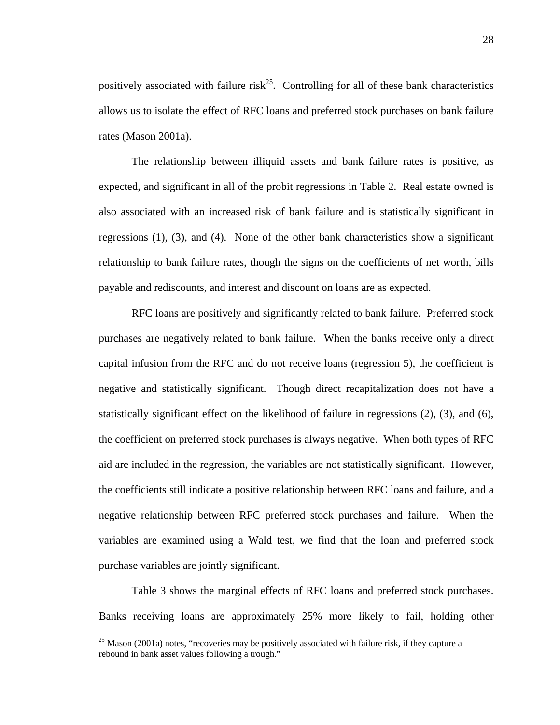positively associated with failure risk<sup>25</sup>. Controlling for all of these bank characteristics allows us to isolate the effect of RFC loans and preferred stock purchases on bank failure rates (Mason 2001a).

 The relationship between illiquid assets and bank failure rates is positive, as expected, and significant in all of the probit regressions in Table 2. Real estate owned is also associated with an increased risk of bank failure and is statistically significant in regressions (1), (3), and (4). None of the other bank characteristics show a significant relationship to bank failure rates, though the signs on the coefficients of net worth, bills payable and rediscounts, and interest and discount on loans are as expected.

 RFC loans are positively and significantly related to bank failure. Preferred stock purchases are negatively related to bank failure. When the banks receive only a direct capital infusion from the RFC and do not receive loans (regression 5), the coefficient is negative and statistically significant. Though direct recapitalization does not have a statistically significant effect on the likelihood of failure in regressions (2), (3), and (6), the coefficient on preferred stock purchases is always negative. When both types of RFC aid are included in the regression, the variables are not statistically significant. However, the coefficients still indicate a positive relationship between RFC loans and failure, and a negative relationship between RFC preferred stock purchases and failure. When the variables are examined using a Wald test, we find that the loan and preferred stock purchase variables are jointly significant.

Table 3 shows the marginal effects of RFC loans and preferred stock purchases. Banks receiving loans are approximately 25% more likely to fail, holding other

 $\overline{a}$ 

 $25$  Mason (2001a) notes, "recoveries may be positively associated with failure risk, if they capture a rebound in bank asset values following a trough."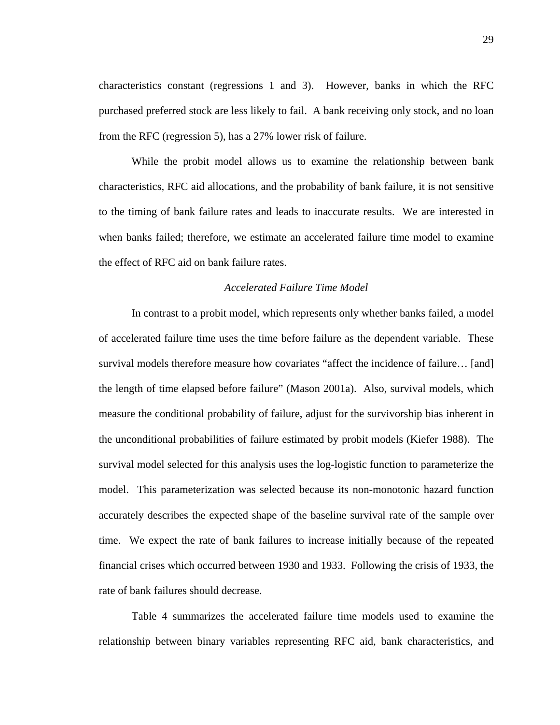characteristics constant (regressions 1 and 3). However, banks in which the RFC purchased preferred stock are less likely to fail. A bank receiving only stock, and no loan from the RFC (regression 5), has a 27% lower risk of failure.

 While the probit model allows us to examine the relationship between bank characteristics, RFC aid allocations, and the probability of bank failure, it is not sensitive to the timing of bank failure rates and leads to inaccurate results. We are interested in when banks failed; therefore, we estimate an accelerated failure time model to examine the effect of RFC aid on bank failure rates.

#### *Accelerated Failure Time Model*

 In contrast to a probit model, which represents only whether banks failed, a model of accelerated failure time uses the time before failure as the dependent variable. These survival models therefore measure how covariates "affect the incidence of failure… [and] the length of time elapsed before failure" (Mason 2001a). Also, survival models, which measure the conditional probability of failure, adjust for the survivorship bias inherent in the unconditional probabilities of failure estimated by probit models (Kiefer 1988). The survival model selected for this analysis uses the log-logistic function to parameterize the model. This parameterization was selected because its non-monotonic hazard function accurately describes the expected shape of the baseline survival rate of the sample over time. We expect the rate of bank failures to increase initially because of the repeated financial crises which occurred between 1930 and 1933. Following the crisis of 1933, the rate of bank failures should decrease.

 Table 4 summarizes the accelerated failure time models used to examine the relationship between binary variables representing RFC aid, bank characteristics, and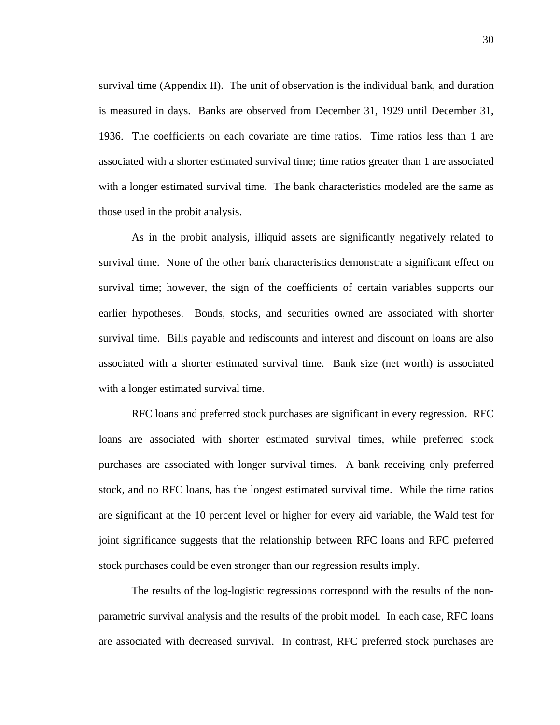survival time (Appendix II). The unit of observation is the individual bank, and duration is measured in days. Banks are observed from December 31, 1929 until December 31, 1936. The coefficients on each covariate are time ratios. Time ratios less than 1 are associated with a shorter estimated survival time; time ratios greater than 1 are associated with a longer estimated survival time. The bank characteristics modeled are the same as those used in the probit analysis.

As in the probit analysis, illiquid assets are significantly negatively related to survival time. None of the other bank characteristics demonstrate a significant effect on survival time; however, the sign of the coefficients of certain variables supports our earlier hypotheses. Bonds, stocks, and securities owned are associated with shorter survival time. Bills payable and rediscounts and interest and discount on loans are also associated with a shorter estimated survival time. Bank size (net worth) is associated with a longer estimated survival time.

RFC loans and preferred stock purchases are significant in every regression. RFC loans are associated with shorter estimated survival times, while preferred stock purchases are associated with longer survival times. A bank receiving only preferred stock, and no RFC loans, has the longest estimated survival time. While the time ratios are significant at the 10 percent level or higher for every aid variable, the Wald test for joint significance suggests that the relationship between RFC loans and RFC preferred stock purchases could be even stronger than our regression results imply.

The results of the log-logistic regressions correspond with the results of the nonparametric survival analysis and the results of the probit model. In each case, RFC loans are associated with decreased survival. In contrast, RFC preferred stock purchases are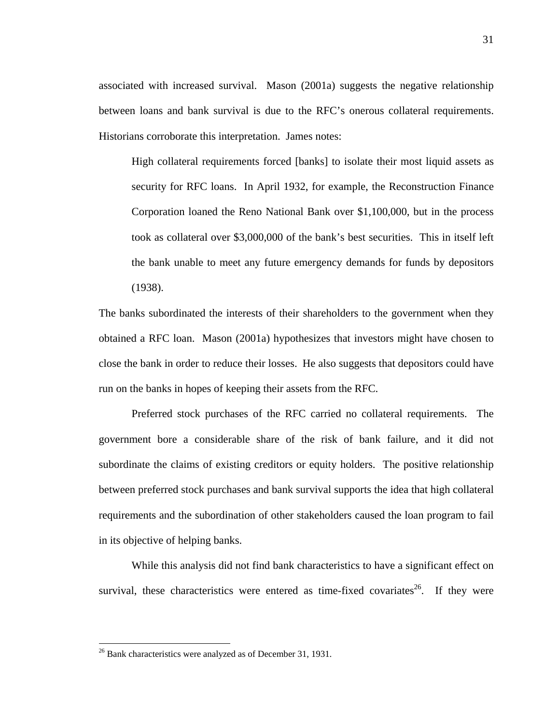associated with increased survival. Mason (2001a) suggests the negative relationship between loans and bank survival is due to the RFC's onerous collateral requirements. Historians corroborate this interpretation. James notes:

High collateral requirements forced [banks] to isolate their most liquid assets as security for RFC loans. In April 1932, for example, the Reconstruction Finance Corporation loaned the Reno National Bank over \$1,100,000, but in the process took as collateral over \$3,000,000 of the bank's best securities. This in itself left the bank unable to meet any future emergency demands for funds by depositors (1938).

The banks subordinated the interests of their shareholders to the government when they obtained a RFC loan. Mason (2001a) hypothesizes that investors might have chosen to close the bank in order to reduce their losses. He also suggests that depositors could have run on the banks in hopes of keeping their assets from the RFC.

Preferred stock purchases of the RFC carried no collateral requirements. The government bore a considerable share of the risk of bank failure, and it did not subordinate the claims of existing creditors or equity holders. The positive relationship between preferred stock purchases and bank survival supports the idea that high collateral requirements and the subordination of other stakeholders caused the loan program to fail in its objective of helping banks.

While this analysis did not find bank characteristics to have a significant effect on survival, these characteristics were entered as time-fixed covariates<sup>26</sup>. If they were

 $\overline{a}$ 

 $26$  Bank characteristics were analyzed as of December 31, 1931.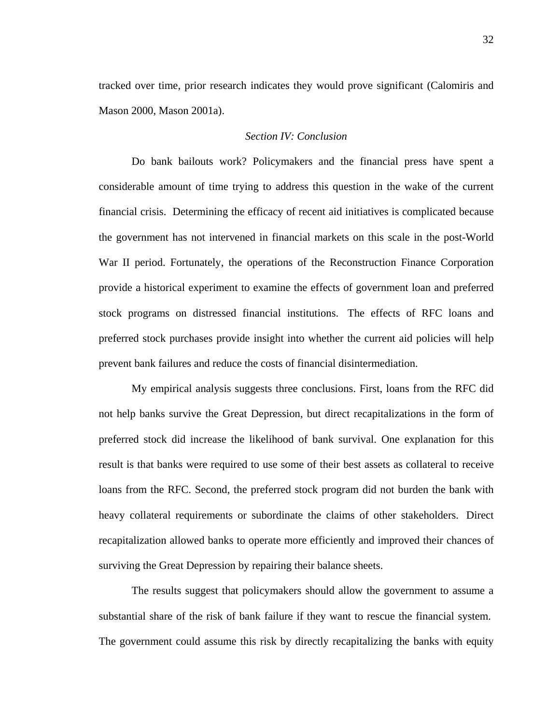tracked over time, prior research indicates they would prove significant (Calomiris and Mason 2000, Mason 2001a).

#### *Section IV: Conclusion*

 Do bank bailouts work? Policymakers and the financial press have spent a considerable amount of time trying to address this question in the wake of the current financial crisis. Determining the efficacy of recent aid initiatives is complicated because the government has not intervened in financial markets on this scale in the post-World War II period. Fortunately, the operations of the Reconstruction Finance Corporation provide a historical experiment to examine the effects of government loan and preferred stock programs on distressed financial institutions. The effects of RFC loans and preferred stock purchases provide insight into whether the current aid policies will help prevent bank failures and reduce the costs of financial disintermediation.

My empirical analysis suggests three conclusions. First, loans from the RFC did not help banks survive the Great Depression, but direct recapitalizations in the form of preferred stock did increase the likelihood of bank survival. One explanation for this result is that banks were required to use some of their best assets as collateral to receive loans from the RFC. Second, the preferred stock program did not burden the bank with heavy collateral requirements or subordinate the claims of other stakeholders. Direct recapitalization allowed banks to operate more efficiently and improved their chances of surviving the Great Depression by repairing their balance sheets.

The results suggest that policymakers should allow the government to assume a substantial share of the risk of bank failure if they want to rescue the financial system. The government could assume this risk by directly recapitalizing the banks with equity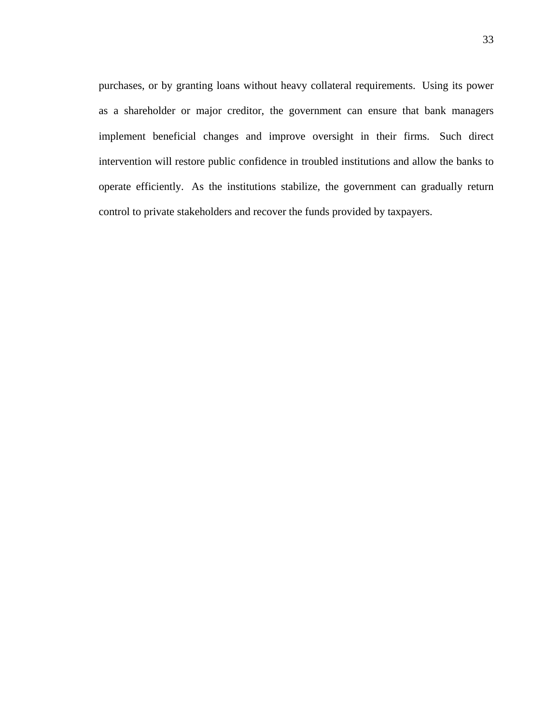purchases, or by granting loans without heavy collateral requirements. Using its power as a shareholder or major creditor, the government can ensure that bank managers implement beneficial changes and improve oversight in their firms. Such direct intervention will restore public confidence in troubled institutions and allow the banks to operate efficiently. As the institutions stabilize, the government can gradually return control to private stakeholders and recover the funds provided by taxpayers.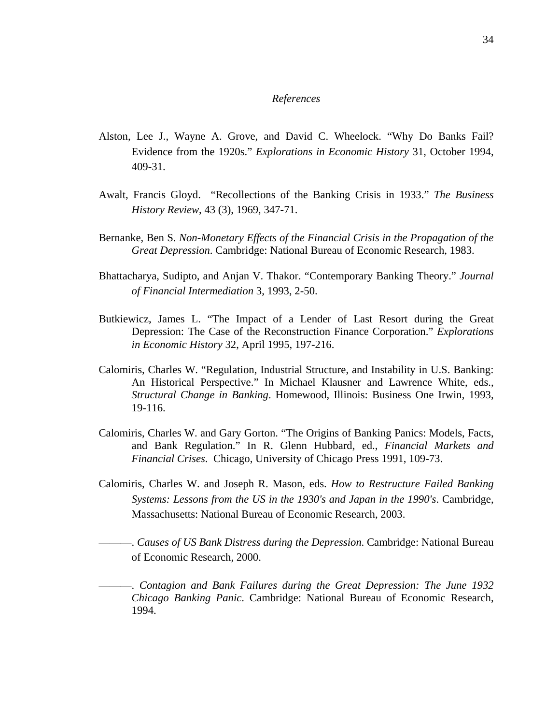#### *References*

- Alston, Lee J., Wayne A. Grove, and David C. Wheelock. "Why Do Banks Fail? Evidence from the 1920s." *Explorations in Economic History* 31, October 1994, 409-31.
- Awalt, Francis Gloyd. "Recollections of the Banking Crisis in 1933." *The Business History Review*, 43 (3), 1969, 347-71.
- Bernanke, Ben S. *Non-Monetary Effects of the Financial Crisis in the Propagation of the Great Depression*. Cambridge: National Bureau of Economic Research, 1983.
- Bhattacharya, Sudipto, and Anjan V. Thakor. "Contemporary Banking Theory." *Journal of Financial Intermediation* 3, 1993, 2-50.
- Butkiewicz, James L. "The Impact of a Lender of Last Resort during the Great Depression: The Case of the Reconstruction Finance Corporation." *Explorations in Economic History* 32, April 1995, 197-216.
- Calomiris, Charles W. "Regulation, Industrial Structure, and Instability in U.S. Banking: An Historical Perspective." In Michael Klausner and Lawrence White, eds., *Structural Change in Banking*. Homewood, Illinois: Business One Irwin, 1993, 19-116.
- Calomiris, Charles W. and Gary Gorton. "The Origins of Banking Panics: Models, Facts, and Bank Regulation." In R. Glenn Hubbard, ed., *Financial Markets and Financial Crises*. Chicago, University of Chicago Press 1991, 109-73.
- Calomiris, Charles W. and Joseph R. Mason, eds. *How to Restructure Failed Banking Systems: Lessons from the US in the 1930's and Japan in the 1990's*. Cambridge, Massachusetts: National Bureau of Economic Research, 2003.
	- ———. *Causes of US Bank Distress during the Depression*. Cambridge: National Bureau of Economic Research, 2000.
	- ———. *Contagion and Bank Failures during the Great Depression: The June 1932 Chicago Banking Panic*. Cambridge: National Bureau of Economic Research, 1994.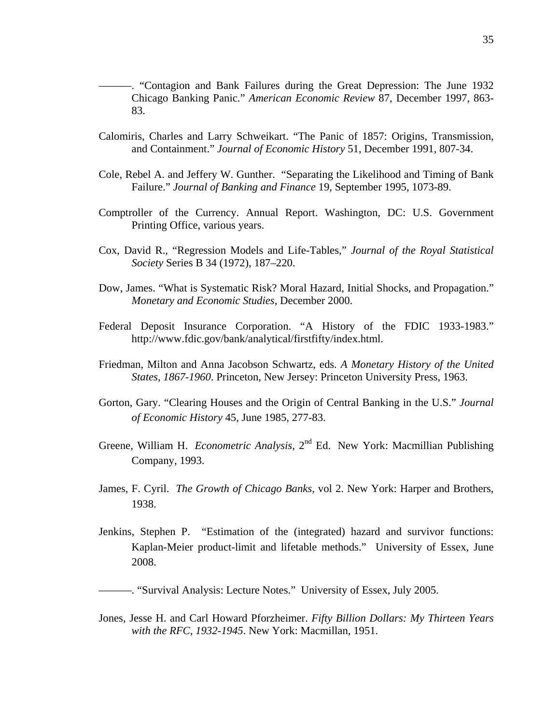- ———. "Contagion and Bank Failures during the Great Depression: The June 1932 Chicago Banking Panic." *American Economic Review* 87, December 1997, 863- 83.
- Calomiris, Charles and Larry Schweikart. "The Panic of 1857: Origins, Transmission, and Containment." *Journal of Economic History* 51, December 1991, 807-34.
- Cole, Rebel A. and Jeffery W. Gunther. "Separating the Likelihood and Timing of Bank Failure." *Journal of Banking and Finance* 19, September 1995, 1073-89.
- Comptroller of the Currency. Annual Report. Washington, DC: U.S. Government Printing Office, various years.
- Cox, David R., "Regression Models and Life-Tables," *Journal of the Royal Statistical Society* Series B 34 (1972), 187–220.
- Dow, James. "What is Systematic Risk? Moral Hazard, Initial Shocks, and Propagation." *Monetary and Economic Studies*, December 2000.
- Federal Deposit Insurance Corporation. "A History of the FDIC 1933-1983." http://www.fdic.gov/bank/analytical/firstfifty/index.html.
- Friedman, Milton and Anna Jacobson Schwartz, eds. *A Monetary History of the United States, 1867-1960*. Princeton, New Jersey: Princeton University Press, 1963.
- Gorton, Gary. "Clearing Houses and the Origin of Central Banking in the U.S." *Journal of Economic History* 45, June 1985, 277-83.
- Greene, William H. *Econometric Analysis*, 2nd Ed. New York: Macmillian Publishing Company, 1993.
- James, F. Cyril. *The Growth of Chicago Banks*, vol 2. New York: Harper and Brothers, 1938.
- Jenkins, Stephen P. "Estimation of the (integrated) hazard and survivor functions: Kaplan-Meier product-limit and lifetable methods." University of Essex, June 2008.

———. "Survival Analysis: Lecture Notes." University of Essex, July 2005.

Jones, Jesse H. and Carl Howard Pforzheimer. *Fifty Billion Dollars: My Thirteen Years with the RFC, 1932-1945*. New York: Macmillan, 1951.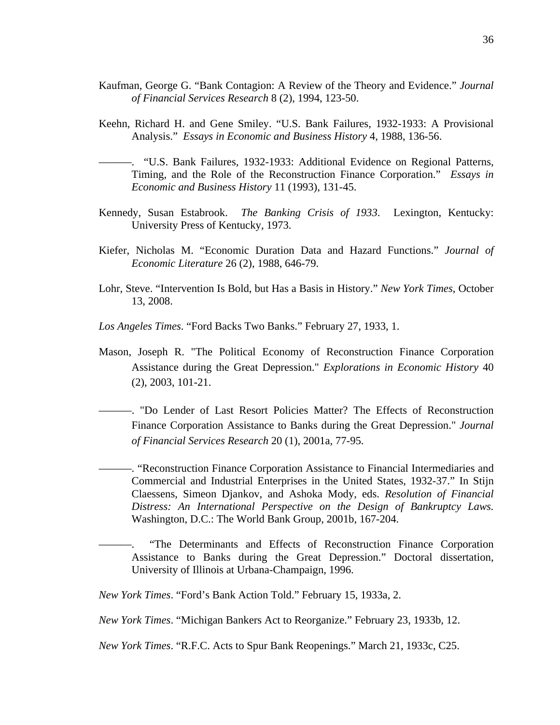- Kaufman, George G. "Bank Contagion: A Review of the Theory and Evidence." *Journal of Financial Services Research* 8 (2), 1994, 123-50.
- Keehn, Richard H. and Gene Smiley. "U.S. Bank Failures, 1932-1933: A Provisional Analysis." *Essays in Economic and Business History* 4, 1988, 136-56.
- ———. "U.S. Bank Failures, 1932-1933: Additional Evidence on Regional Patterns, Timing, and the Role of the Reconstruction Finance Corporation." *Essays in Economic and Business History* 11 (1993), 131-45.
- Kennedy, Susan Estabrook. *The Banking Crisis of 1933*. Lexington, Kentucky: University Press of Kentucky, 1973.
- Kiefer, Nicholas M. "Economic Duration Data and Hazard Functions." *Journal of Economic Literature* 26 (2), 1988, 646-79.
- Lohr, Steve. "Intervention Is Bold, but Has a Basis in History." *New York Times*, October 13, 2008.

*Los Angeles Times*. "Ford Backs Two Banks." February 27, 1933, 1.

- Mason, Joseph R. "The Political Economy of Reconstruction Finance Corporation Assistance during the Great Depression." *Explorations in Economic History* 40 (2), 2003, 101-21.
- ———. "Do Lender of Last Resort Policies Matter? The Effects of Reconstruction Finance Corporation Assistance to Banks during the Great Depression." *Journal of Financial Services Research* 20 (1), 2001a, 77-95.
	- ———. "Reconstruction Finance Corporation Assistance to Financial Intermediaries and Commercial and Industrial Enterprises in the United States, 1932-37." In Stijn Claessens, Simeon Djankov, and Ashoka Mody, eds. *Resolution of Financial Distress: An International Perspective on the Design of Bankruptcy Laws.* Washington, D.C.: The World Bank Group, 2001b, 167-204.
	- "The Determinants and Effects of Reconstruction Finance Corporation Assistance to Banks during the Great Depression." Doctoral dissertation, University of Illinois at Urbana-Champaign, 1996.

*New York Times*. "Ford's Bank Action Told." February 15, 1933a, 2.

*New York Times*. "Michigan Bankers Act to Reorganize." February 23, 1933b, 12.

*New York Times*. "R.F.C. Acts to Spur Bank Reopenings." March 21, 1933c, C25.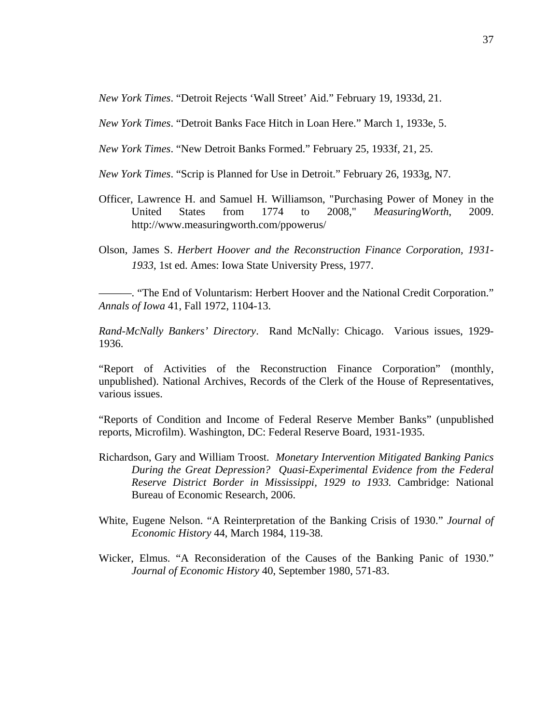*New York Times*. "Detroit Rejects 'Wall Street' Aid." February 19, 1933d, 21.

*New York Times*. "Detroit Banks Face Hitch in Loan Here." March 1, 1933e, 5.

- *New York Times*. "New Detroit Banks Formed." February 25, 1933f, 21, 25.
- *New York Times*. "Scrip is Planned for Use in Detroit." February 26, 1933g, N7.
- Officer, Lawrence H. and Samuel H. Williamson, "Purchasing Power of Money in the United States from 1774 to 2008," *MeasuringWorth*, 2009. http://www.measuringworth.com/ppowerus/
- Olson, James S. *Herbert Hoover and the Reconstruction Finance Corporation, 1931- 1933*, 1st ed. Ames: Iowa State University Press, 1977.

———. "The End of Voluntarism: Herbert Hoover and the National Credit Corporation." *Annals of Iowa* 41, Fall 1972, 1104-13.

*Rand-McNally Bankers' Directory*. Rand McNally: Chicago. Various issues, 1929- 1936.

"Report of Activities of the Reconstruction Finance Corporation" (monthly, unpublished). National Archives, Records of the Clerk of the House of Representatives, various issues.

"Reports of Condition and Income of Federal Reserve Member Banks" (unpublished reports, Microfilm). Washington, DC: Federal Reserve Board, 1931-1935.

- Richardson, Gary and William Troost. *Monetary Intervention Mitigated Banking Panics During the Great Depression? Quasi-Experimental Evidence from the Federal Reserve District Border in Mississippi, 1929 to 1933.* Cambridge: National Bureau of Economic Research, 2006.
- White, Eugene Nelson. "A Reinterpretation of the Banking Crisis of 1930." *Journal of Economic History* 44, March 1984, 119-38.
- Wicker, Elmus. "A Reconsideration of the Causes of the Banking Panic of 1930." *Journal of Economic History* 40, September 1980, 571-83.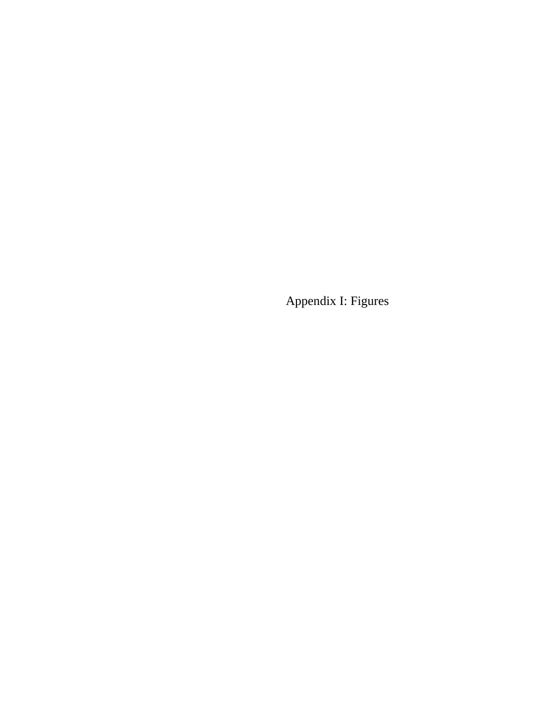Appendix I: Figures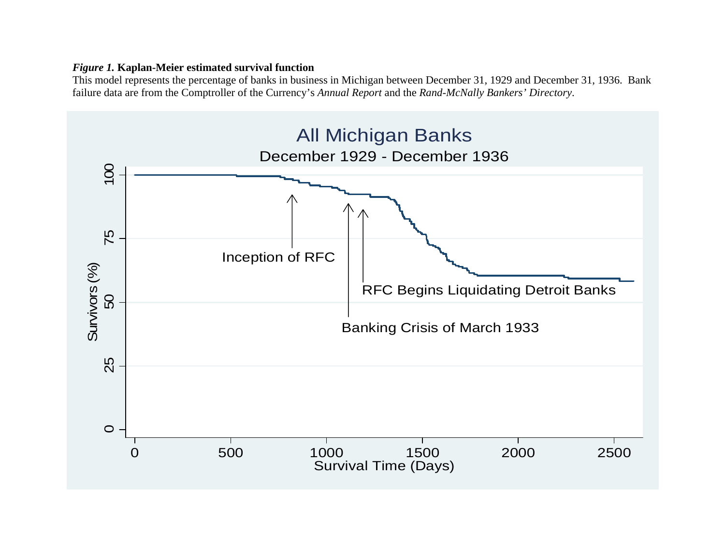## *Figure 1.* **Kaplan-Meier estimated survival function**

This model represents the percentage of banks in business in Michigan between December 31, 1929 and December 31, 1936. Bank failure data are from the Comptroller of the Currency's *Annual Report* and the *Rand-McNally Bankers' Directory*.

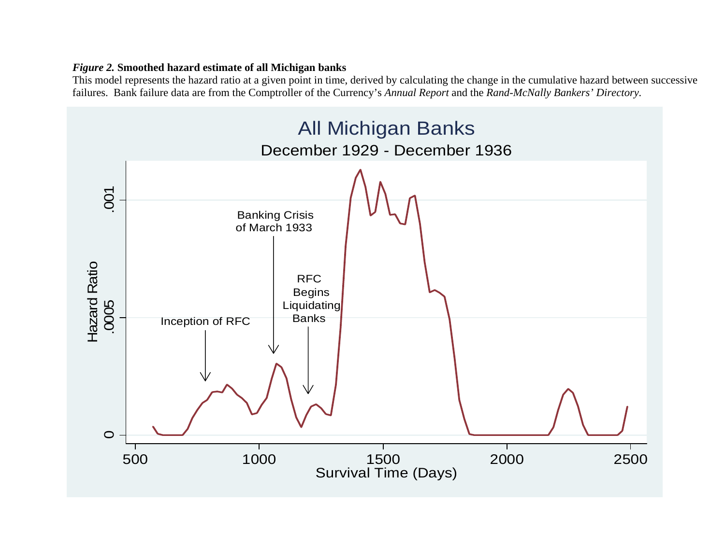## *Figure 2.* **Smoothed hazard estimate of all Michigan banks**

This model represents the hazard ratio at a given point in time, derived by calculating the change in the cumulative hazard between successive failures. Bank failure data are from the Comptroller of the Currency's *Annual Report* and the *Rand-McNally Bankers' Directory.* 

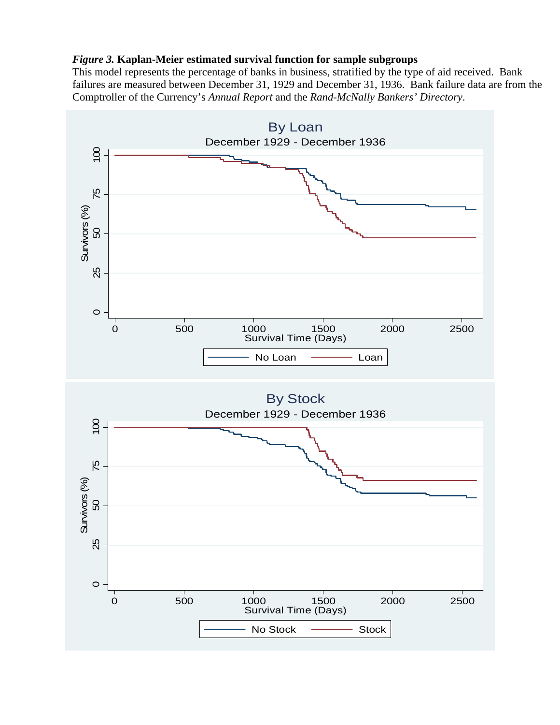#### *Figure 3.* **Kaplan-Meier estimated survival function for sample subgroups**

This model represents the percentage of banks in business, stratified by the type of aid received. Bank failures are measured between December 31, 1929 and December 31, 1936. Bank failure data are from the Comptroller of the Currency's *Annual Report* and the *Rand-McNally Bankers' Directory*.

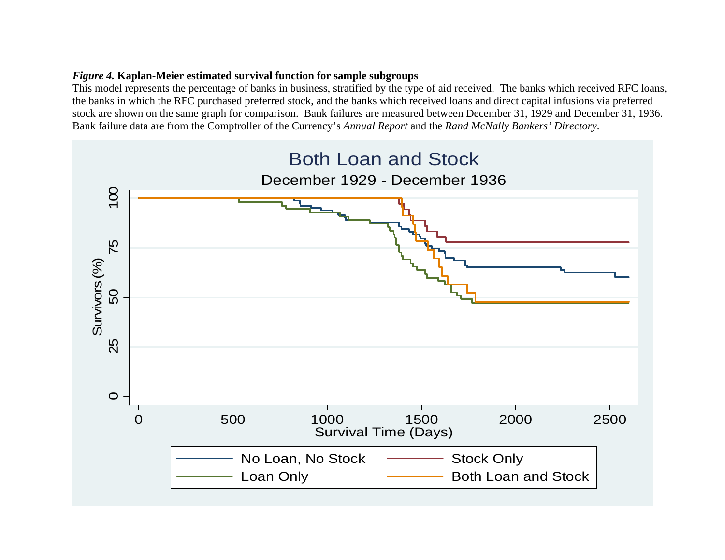## *Figure 4.* **Kaplan-Meier estimated survival function for sample subgroups**

This model represents the percentage of banks in business, stratified by the type of aid received. The banks which received RFC loans, the banks in which the RFC purchased preferred stock, and the banks which received loans and direct capital infusions via preferred stock are shown on the same graph for comparison. Bank failures are measured between December 31, 1929 and December 31, 1936. Bank failure data are from the Comptroller of the Currency's *Annual Report* and the *Rand McNally Bankers' Directory*.

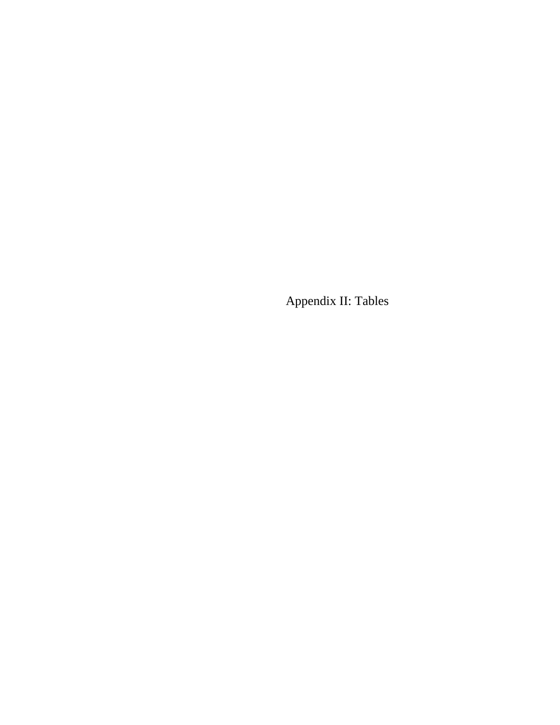Appendix II: Tables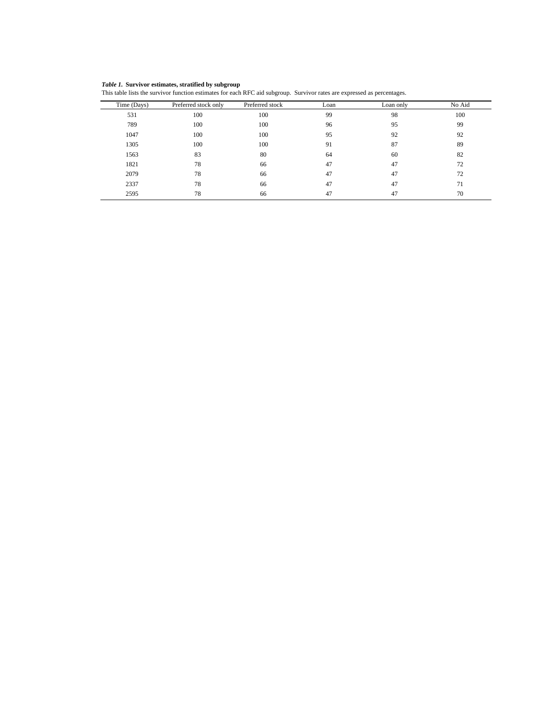Survivor estimates, stratified by subgroup *Table 1.* **Survivor estimates, stratified by subgroup**

| This table lists the survivor function estimates for each RFC aid subgroup. Survivor rates are expressed as percentages. |  |  |
|--------------------------------------------------------------------------------------------------------------------------|--|--|
|                                                                                                                          |  |  |

| Time (Days) | Preferred stock only | Preferred stock | Loan | Loan only | No Aid |
|-------------|----------------------|-----------------|------|-----------|--------|
| 531         | 100                  | 100             | 99   | 98        | 100    |
| 789         | 100                  | 100             | 96   | 95        | 99     |
| 1047        | 100                  | 100             | 95   | 92        | 92     |
| 1305        | 100                  | 100             | 91   | 87        | 89     |
| 1563        | 83                   | 80              | 64   | 60        | 82     |
| 1821        | 78                   | 66              | 47   | 47        | 72     |
| 2079        | 78                   | 66              | 47   | 47        | 72     |
| 2337        | 78                   | 66              | 47   | 47        | 71     |
| 2595        | 78                   | 66              | 47   | 47        | 70     |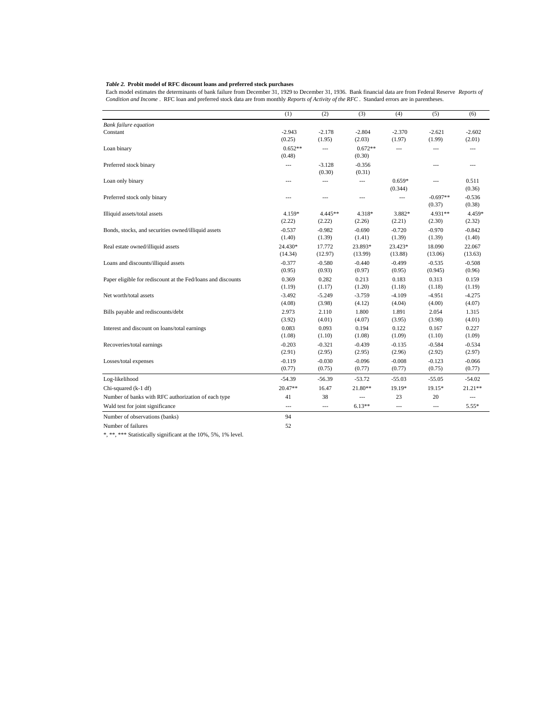#### *Table 2.* **Probit model of RFC discount loans and preferred stock purchases**

Each model estimates the determinants of bank failure from December 31, 1929 to December 31, 1936. Bank financial data are from Federal Reserve *Reports of Condition and Income* . RFC loan and preferred stock data are from monthly *Reports of Activity of the RFC* . Standard errors are in parentheses.

|                                                              | (1)                 | (2)                 | (3)                 | (4)                 | (5)                  | (6)                |
|--------------------------------------------------------------|---------------------|---------------------|---------------------|---------------------|----------------------|--------------------|
| <b>Bank failure equation</b>                                 |                     |                     |                     |                     |                      |                    |
| Constant                                                     | $-2.943$            | $-2.178$            | $-2.804$            | $-2.370$            | $-2.621$             | $-2.602$           |
|                                                              | (0.25)              | (1.95)              | (2.03)              | (1.97)              | (1.99)               | (2.01)             |
| Loan binary                                                  | $0.652**$<br>(0.48) | $\overline{a}$      | $0.672**$<br>(0.30) | $\overline{a}$      | $---$                | $\overline{a}$     |
| Preferred stock binary                                       | $\overline{a}$      | $-3.128$<br>(0.30)  | $-0.356$<br>(0.31)  |                     | $---$                | $---$              |
| Loan only binary                                             | $---$               | $\cdots$            | ---                 | $0.659*$<br>(0.344) | $\overline{a}$       | 0.511<br>(0.36)    |
| Preferred stock only binary                                  | $\overline{a}$      | $\overline{a}$      | ---                 | $\overline{a}$      | $-0.697**$<br>(0.37) | $-0.536$<br>(0.38) |
| Illiquid assets/total assets                                 | 4.159*<br>(2.22)    | $4.445**$<br>(2.22) | 4.318*<br>(2.26)    | 3.882*<br>(2.21)    | 4.931**<br>(2.30)    | 4.459*<br>(2.32)   |
| Bonds, stocks, and securities owned/illiquid assets          | $-0.537$<br>(1.40)  | $-0.982$<br>(1.39)  | $-0.690$<br>(1.41)  | $-0.720$<br>(1.39)  | $-0.970$<br>(1.39)   | $-0.842$<br>(1.40) |
| Real estate owned/illiquid assets                            | 24.430*<br>(14.34)  | 17.772<br>(12.97)   | 23.893*<br>(13.99)  | 23.423*<br>(13.88)  | 18.090<br>(13.06)    | 22.067<br>(13.63)  |
| Loans and discounts/illiquid assets                          | $-0.377$<br>(0.95)  | $-0.580$<br>(0.93)  | $-0.440$<br>(0.97)  | $-0.499$<br>(0.95)  | $-0.535$<br>(0.945)  | $-0.508$<br>(0.96) |
| Paper eligible for rediscount at the Fed/loans and discounts | 0.369<br>(1.19)     | 0.282<br>(1.17)     | 0.213<br>(1.20)     | 0.183<br>(1.18)     | 0.313<br>(1.18)      | 0.159<br>(1.19)    |
| Net worth/total assets                                       | $-3.492$<br>(4.08)  | $-5.249$<br>(3.98)  | $-3.759$<br>(4.12)  | $-4.109$<br>(4.04)  | -4.951<br>(4.00)     | $-4.275$<br>(4.07) |
| Bills payable and rediscounts/debt                           | 2.973<br>(3.92)     | 2.110<br>(4.01)     | 1.800<br>(4.07)     | 1.891<br>(3.95)     | 2.054<br>(3.98)      | 1.315<br>(4.01)    |
| Interest and discount on loans/total earnings                | 0.083<br>(1.08)     | 0.093<br>(1.10)     | 0.194<br>(1.08)     | 0.122<br>(1.09)     | 0.167<br>(1.10)      | 0.227<br>(1.09)    |
| Recoveries/total earnings                                    | $-0.203$<br>(2.91)  | $-0.321$<br>(2.95)  | $-0.439$<br>(2.95)  | $-0.135$<br>(2.96)  | $-0.584$<br>(2.92)   | $-0.534$<br>(2.97) |
| Losses/total expenses                                        | $-0.119$<br>(0.77)  | $-0.030$<br>(0.75)  | $-0.096$<br>(0.77)  | $-0.008$<br>(0.77)  | $-0.123$<br>(0.75)   | $-0.066$<br>(0.77) |
| Log-likelihood                                               | $-54.39$            | $-56.39$            | $-53.72$            | $-55.03$            | $-55.05$             | $-54.02$           |
| Chi-squared (k-1 df)                                         | 20.47**             | 16.47               | $21.80**$           | 19.19*              | 19.15*               | 21.21**            |
| Number of banks with RFC authorization of each type          | 41                  | 38                  | ---                 | 23                  | 20                   | ---                |
| Wald test for joint significance                             | ---                 | $\overline{a}$      | $6.13**$            | $\overline{a}$      | $\overline{a}$       | 5.55*              |
| Number of observations (banks)                               | 94                  |                     |                     |                     |                      |                    |
| Number of failures                                           | 52                  |                     |                     |                     |                      |                    |

\*, \*\*, \*\*\* Statistically significant at the 10%, 5%, 1% level.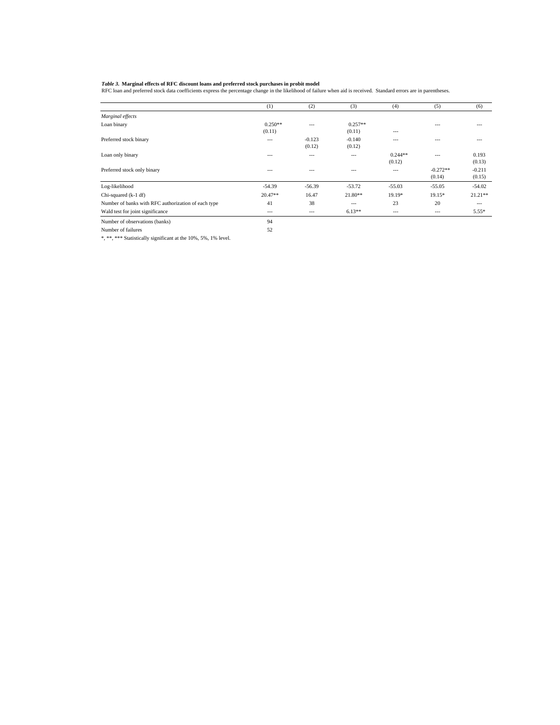Table 3. Marginal effects of RFC discount loans and preferred stock purchases in probit model<br>RFC loan and preferred stock data coefficients express the percentage change in the likelihood of failure when aid is received.

|                                                     | (1)       | (2)      | (3)       | (4)       | (5)        | (6)       |
|-----------------------------------------------------|-----------|----------|-----------|-----------|------------|-----------|
| Marginal effects                                    |           |          |           |           |            |           |
| Loan binary                                         | $0.250**$ | $-$      | $0.257**$ |           | ---        |           |
|                                                     | (0.11)    |          | (0.11)    | ---       |            |           |
| Preferred stock binary                              | $--$      | $-0.123$ | $-0.140$  | $- - -$   |            |           |
|                                                     |           | (0.12)   | (0.12)    |           |            |           |
| Loan only binary                                    | $- - -$   | $---$    | ---       | $0.244**$ | ---        | 0.193     |
|                                                     |           |          |           | (0.12)    |            | (0.13)    |
| Preferred stock only binary                         |           |          |           | ---       | $-0.272**$ | $-0.211$  |
|                                                     |           |          |           |           | (0.14)     | (0.15)    |
| Log-likelihood                                      | $-54.39$  | $-56.39$ | $-53.72$  | $-55.03$  | $-55.05$   | $-54.02$  |
| Chi-squared (k-1 df)                                | $20.47**$ | 16.47    | $21.80**$ | $19.19*$  | $19.15*$   | $21.21**$ |
| Number of banks with RFC authorization of each type | 41        | 38       | ---       | 23        | 20         | ---       |
| Wald test for joint significance                    | $---$     | $---$    | $6.13**$  | $---$     | ---        | $5.55*$   |
| Number of observations (banks)                      | 94        |          |           |           |            |           |

Number of failures 52

\*, \*\*, \*\*\* Statistically significant at the 10%, 5%, 1% level.